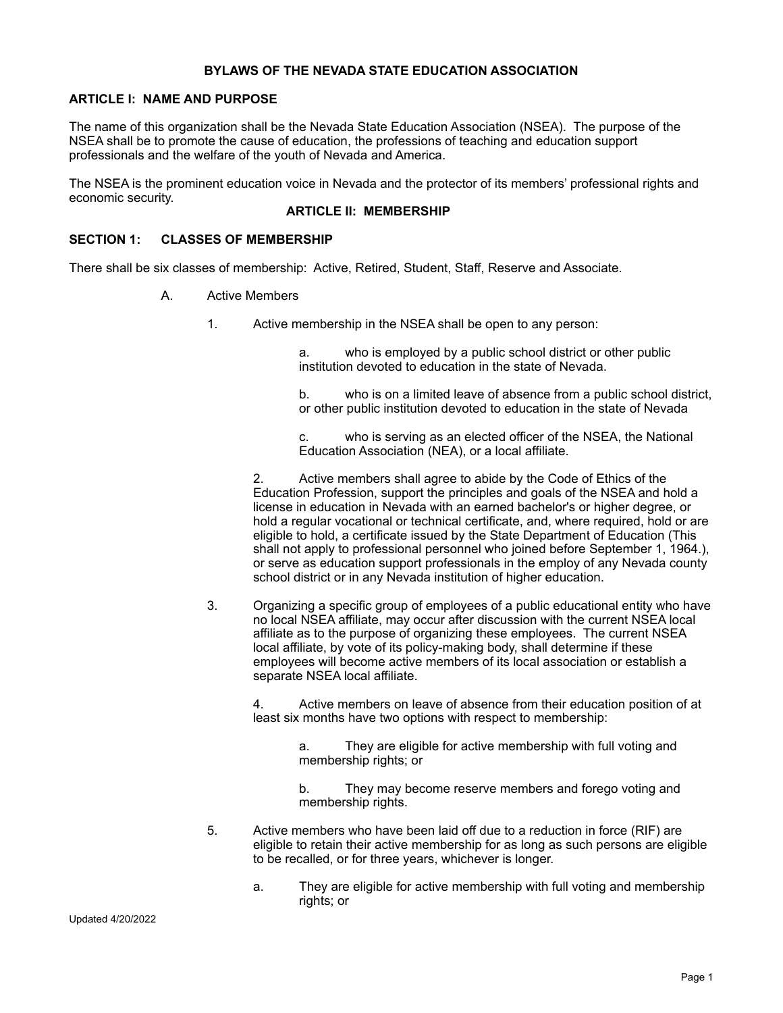### **BYLAWS OF THE NEVADA STATE EDUCATION ASSOCIATION**

### **ARTICLE I: NAME AND PURPOSE**

The name of this organization shall be the Nevada State Education Association (NSEA). The purpose of the NSEA shall be to promote the cause of education, the professions of teaching and education support professionals and the welfare of the youth of Nevada and America.

The NSEA is the prominent education voice in Nevada and the protector of its members' professional rights and economic security.

# **ARTICLE II: MEMBERSHIP**

### **SECTION 1: CLASSES OF MEMBERSHIP**

There shall be six classes of membership: Active, Retired, Student, Staff, Reserve and Associate.

- A. Active Members
	- 1. Active membership in the NSEA shall be open to any person:

a. who is employed by a public school district or other public institution devoted to education in the state of Nevada.

b. who is on a limited leave of absence from a public school district, or other public institution devoted to education in the state of Nevada

c. who is serving as an elected officer of the NSEA, the National Education Association (NEA), or a local affiliate.

2. Active members shall agree to abide by the Code of Ethics of the Education Profession, support the principles and goals of the NSEA and hold a license in education in Nevada with an earned bachelor's or higher degree, or hold a regular vocational or technical certificate, and, where required, hold or are eligible to hold, a certificate issued by the State Department of Education (This shall not apply to professional personnel who joined before September 1, 1964.), or serve as education support professionals in the employ of any Nevada county school district or in any Nevada institution of higher education.

3. Organizing a specific group of employees of a public educational entity who have no local NSEA affiliate, may occur after discussion with the current NSEA local affiliate as to the purpose of organizing these employees. The current NSEA local affiliate, by vote of its policy-making body, shall determine if these employees will become active members of its local association or establish a separate NSEA local affiliate.

4. Active members on leave of absence from their education position of at least six months have two options with respect to membership:

a. They are eligible for active membership with full voting and membership rights; or

b. They may become reserve members and forego voting and membership rights.

- 5. Active members who have been laid off due to a reduction in force (RIF) are eligible to retain their active membership for as long as such persons are eligible to be recalled, or for three years, whichever is longer.
	- a. They are eligible for active membership with full voting and membership rights; or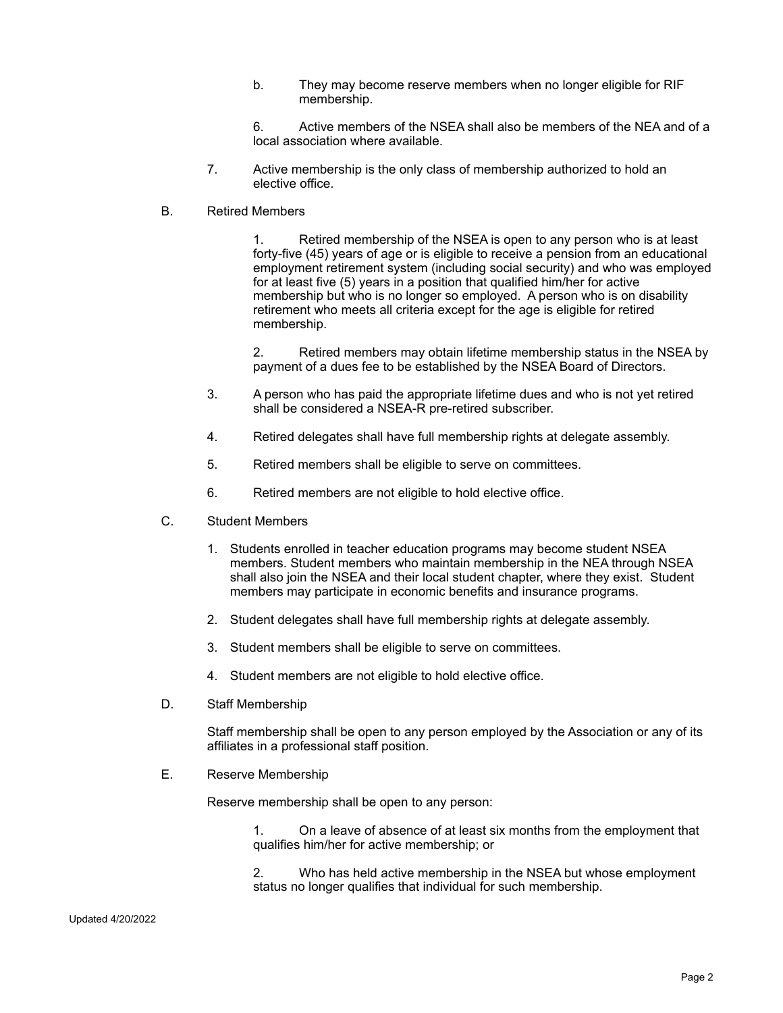- b. They may become reserve members when no longer eligible for RIF membership.
- 6. Active members of the NSEA shall also be members of the NEA and of a local association where available.
- 7. Active membership is the only class of membership authorized to hold an elective office.
- B. Retired Members

1. Retired membership of the NSEA is open to any person who is at least forty-five (45) years of age or is eligible to receive a pension from an educational employment retirement system (including social security) and who was employed for at least five (5) years in a position that qualified him/her for active membership but who is no longer so employed. A person who is on disability retirement who meets all criteria except for the age is eligible for retired membership.

2. Retired members may obtain lifetime membership status in the NSEA by payment of a dues fee to be established by the NSEA Board of Directors.

- 3. A person who has paid the appropriate lifetime dues and who is not yet retired shall be considered a NSEA-R pre-retired subscriber.
- 4. Retired delegates shall have full membership rights at delegate assembly.
- 5. Retired members shall be eligible to serve on committees.
- 6. Retired members are not eligible to hold elective office.
- C. Student Members
	- 1. Students enrolled in teacher education programs may become student NSEA members. Student members who maintain membership in the NEA through NSEA shall also join the NSEA and their local student chapter, where they exist. Student members may participate in economic benefits and insurance programs.
	- 2. Student delegates shall have full membership rights at delegate assembly.
	- 3. Student members shall be eligible to serve on committees.
	- 4. Student members are not eligible to hold elective office.
- D. Staff Membership

Staff membership shall be open to any person employed by the Association or any of its affiliates in a professional staff position.

E. Reserve Membership

Reserve membership shall be open to any person:

1. On a leave of absence of at least six months from the employment that qualifies him/her for active membership; or

2. Who has held active membership in the NSEA but whose employment status no longer qualifies that individual for such membership.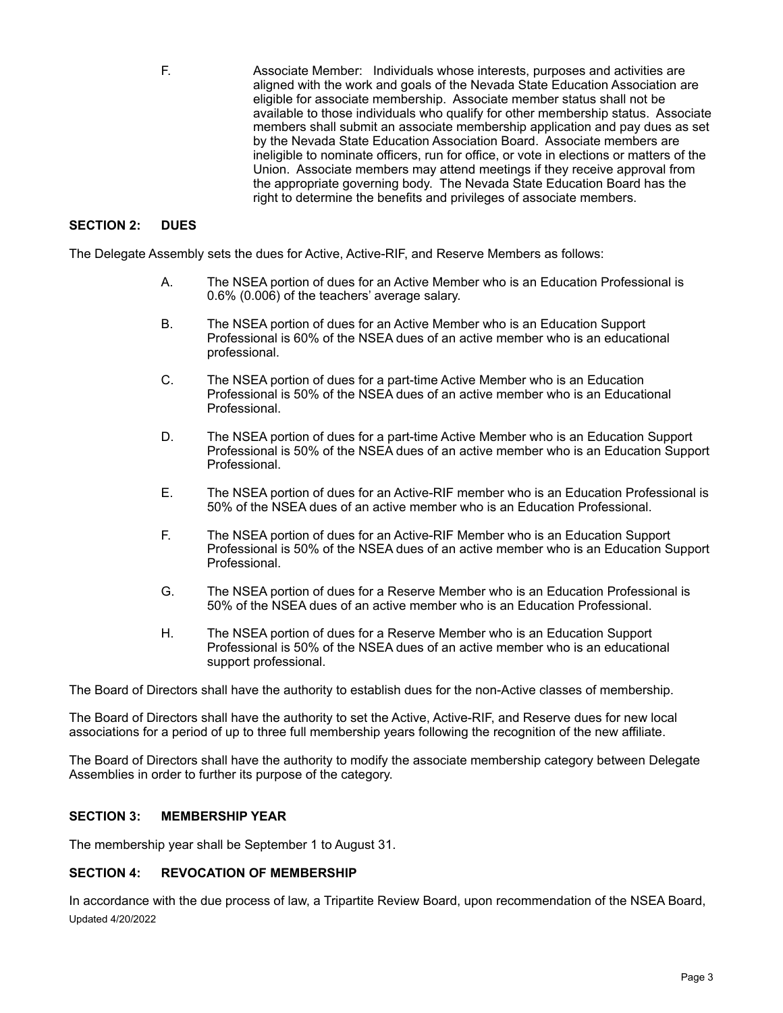F. Associate Member: Individuals whose interests, purposes and activities are aligned with the work and goals of the Nevada State Education Association are eligible for associate membership. Associate member status shall not be available to those individuals who qualify for other membership status. Associate members shall submit an associate membership application and pay dues as set by the Nevada State Education Association Board. Associate members are ineligible to nominate officers, run for office, or vote in elections or matters of the Union. Associate members may attend meetings if they receive approval from the appropriate governing body. The Nevada State Education Board has the right to determine the benefits and privileges of associate members.

### **SECTION 2: DUES**

The Delegate Assembly sets the dues for Active, Active-RIF, and Reserve Members as follows:

- A. The NSEA portion of dues for an Active Member who is an Education Professional is 0.6% (0.006) of the teachers' average salary.
- B. The NSEA portion of dues for an Active Member who is an Education Support Professional is 60% of the NSEA dues of an active member who is an educational professional.
- C. The NSEA portion of dues for a part-time Active Member who is an Education Professional is 50% of the NSEA dues of an active member who is an Educational Professional.
- D. The NSEA portion of dues for a part-time Active Member who is an Education Support Professional is 50% of the NSEA dues of an active member who is an Education Support Professional.
- E. The NSEA portion of dues for an Active-RIF member who is an Education Professional is 50% of the NSEA dues of an active member who is an Education Professional.
- F. The NSEA portion of dues for an Active-RIF Member who is an Education Support Professional is 50% of the NSEA dues of an active member who is an Education Support Professional.
- G. The NSEA portion of dues for a Reserve Member who is an Education Professional is 50% of the NSEA dues of an active member who is an Education Professional.
- H. The NSEA portion of dues for a Reserve Member who is an Education Support Professional is 50% of the NSEA dues of an active member who is an educational support professional.

The Board of Directors shall have the authority to establish dues for the non-Active classes of membership.

The Board of Directors shall have the authority to set the Active, Active-RIF, and Reserve dues for new local associations for a period of up to three full membership years following the recognition of the new affiliate.

The Board of Directors shall have the authority to modify the associate membership category between Delegate Assemblies in order to further its purpose of the category.

# **SECTION 3: MEMBERSHIP YEAR**

The membership year shall be September 1 to August 31.

### **SECTION 4: REVOCATION OF MEMBERSHIP**

In accordance with the due process of law, a Tripartite Review Board, upon recommendation of the NSEA Board, Updated 4/20/2022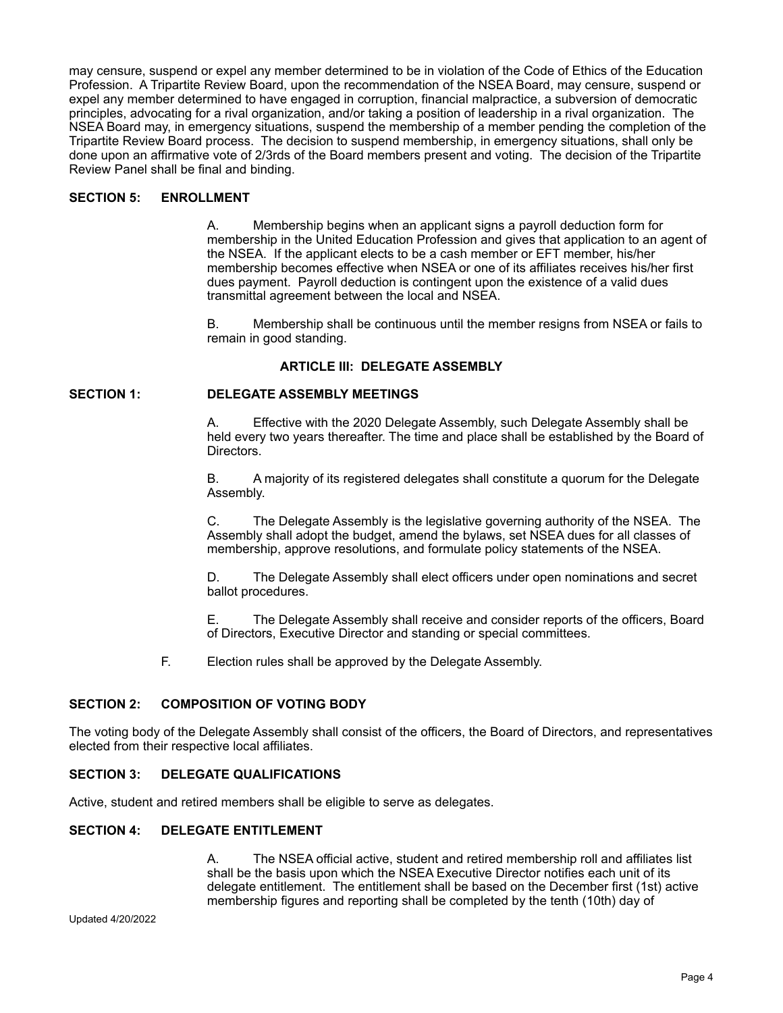may censure, suspend or expel any member determined to be in violation of the Code of Ethics of the Education Profession. A Tripartite Review Board, upon the recommendation of the NSEA Board, may censure, suspend or expel any member determined to have engaged in corruption, financial malpractice, a subversion of democratic principles, advocating for a rival organization, and/or taking a position of leadership in a rival organization. The NSEA Board may, in emergency situations, suspend the membership of a member pending the completion of the Tripartite Review Board process. The decision to suspend membership, in emergency situations, shall only be done upon an affirmative vote of 2/3rds of the Board members present and voting. The decision of the Tripartite Review Panel shall be final and binding.

## **SECTION 5: ENROLLMENT**

A. Membership begins when an applicant signs a payroll deduction form for membership in the United Education Profession and gives that application to an agent of the NSEA. If the applicant elects to be a cash member or EFT member, his/her membership becomes effective when NSEA or one of its affiliates receives his/her first dues payment. Payroll deduction is contingent upon the existence of a valid dues transmittal agreement between the local and NSEA.

B. Membership shall be continuous until the member resigns from NSEA or fails to remain in good standing.

### **ARTICLE III: DELEGATE ASSEMBLY**

### **SECTION 1: DELEGATE ASSEMBLY MEETINGS**

A. Effective with the 2020 Delegate Assembly, such Delegate Assembly shall be held every two years thereafter. The time and place shall be established by the Board of Directors.

B. A majority of its registered delegates shall constitute a quorum for the Delegate Assembly.

C. The Delegate Assembly is the legislative governing authority of the NSEA. The Assembly shall adopt the budget, amend the bylaws, set NSEA dues for all classes of membership, approve resolutions, and formulate policy statements of the NSEA.

D. The Delegate Assembly shall elect officers under open nominations and secret ballot procedures.

E. The Delegate Assembly shall receive and consider reports of the officers, Board of Directors, Executive Director and standing or special committees.

F. Election rules shall be approved by the Delegate Assembly.

### **SECTION 2: COMPOSITION OF VOTING BODY**

The voting body of the Delegate Assembly shall consist of the officers, the Board of Directors, and representatives elected from their respective local affiliates.

### **SECTION 3: DELEGATE QUALIFICATIONS**

Active, student and retired members shall be eligible to serve as delegates.

### **SECTION 4: DELEGATE ENTITLEMENT**

A. The NSEA official active, student and retired membership roll and affiliates list shall be the basis upon which the NSEA Executive Director notifies each unit of its delegate entitlement. The entitlement shall be based on the December first (1st) active membership figures and reporting shall be completed by the tenth (10th) day of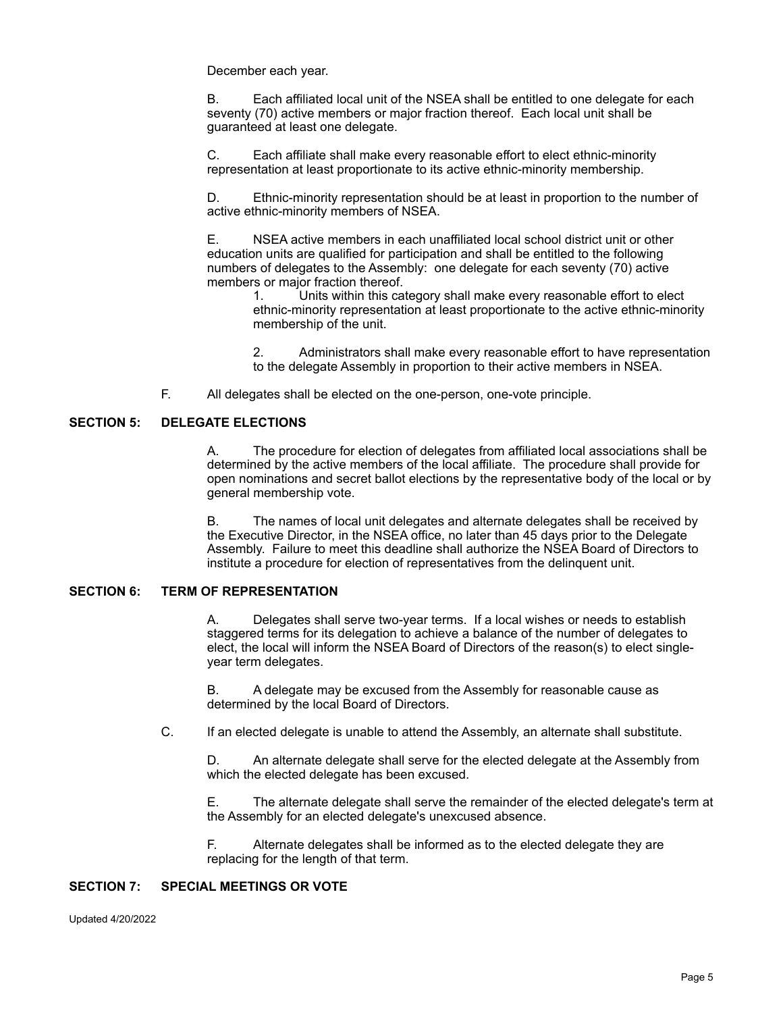December each year.

B. Each affiliated local unit of the NSEA shall be entitled to one delegate for each seventy (70) active members or major fraction thereof. Each local unit shall be guaranteed at least one delegate.

C. Each affiliate shall make every reasonable effort to elect ethnic-minority representation at least proportionate to its active ethnic-minority membership.

D. Ethnic-minority representation should be at least in proportion to the number of active ethnic-minority members of NSEA.

E. NSEA active members in each unaffiliated local school district unit or other education units are qualified for participation and shall be entitled to the following numbers of delegates to the Assembly: one delegate for each seventy (70) active members or major fraction thereof.

1. Units within this category shall make every reasonable effort to elect ethnic-minority representation at least proportionate to the active ethnic-minority membership of the unit.

2. Administrators shall make every reasonable effort to have representation to the delegate Assembly in proportion to their active members in NSEA.

F. All delegates shall be elected on the one-person, one-vote principle.

# **SECTION 5: DELEGATE ELECTIONS**

A. The procedure for election of delegates from affiliated local associations shall be determined by the active members of the local affiliate. The procedure shall provide for open nominations and secret ballot elections by the representative body of the local or by general membership vote.

B. The names of local unit delegates and alternate delegates shall be received by the Executive Director, in the NSEA office, no later than 45 days prior to the Delegate Assembly. Failure to meet this deadline shall authorize the NSEA Board of Directors to institute a procedure for election of representatives from the delinquent unit.

# **SECTION 6: TERM OF REPRESENTATION**

A. Delegates shall serve two-year terms. If a local wishes or needs to establish staggered terms for its delegation to achieve a balance of the number of delegates to elect, the local will inform the NSEA Board of Directors of the reason(s) to elect singleyear term delegates.

B. A delegate may be excused from the Assembly for reasonable cause as determined by the local Board of Directors.

C. If an elected delegate is unable to attend the Assembly, an alternate shall substitute.

D. An alternate delegate shall serve for the elected delegate at the Assembly from which the elected delegate has been excused.

E. The alternate delegate shall serve the remainder of the elected delegate's term at the Assembly for an elected delegate's unexcused absence.

F. Alternate delegates shall be informed as to the elected delegate they are replacing for the length of that term.

## **SECTION 7: SPECIAL MEETINGS OR VOTE**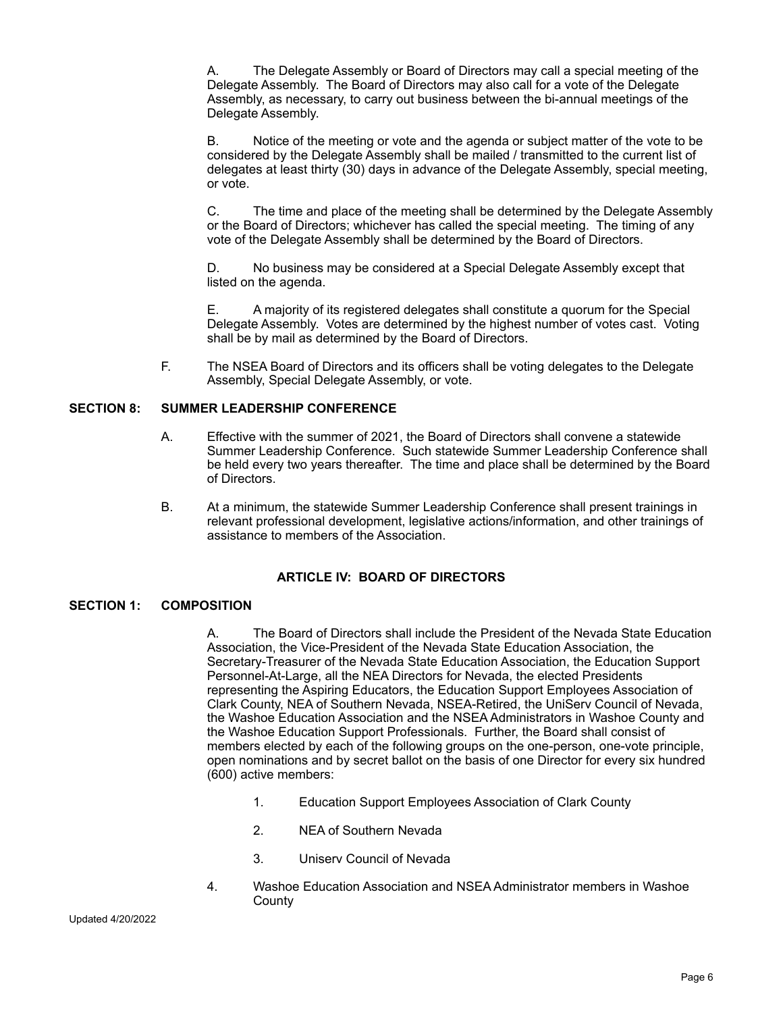A. The Delegate Assembly or Board of Directors may call a special meeting of the Delegate Assembly. The Board of Directors may also call for a vote of the Delegate Assembly, as necessary, to carry out business between the bi-annual meetings of the Delegate Assembly.

B. Notice of the meeting or vote and the agenda or subject matter of the vote to be considered by the Delegate Assembly shall be mailed / transmitted to the current list of delegates at least thirty (30) days in advance of the Delegate Assembly, special meeting, or vote.

C. The time and place of the meeting shall be determined by the Delegate Assembly or the Board of Directors; whichever has called the special meeting. The timing of any vote of the Delegate Assembly shall be determined by the Board of Directors.

D. No business may be considered at a Special Delegate Assembly except that listed on the agenda.

E. A majority of its registered delegates shall constitute a quorum for the Special Delegate Assembly. Votes are determined by the highest number of votes cast. Voting shall be by mail as determined by the Board of Directors.

F. The NSEA Board of Directors and its officers shall be voting delegates to the Delegate Assembly, Special Delegate Assembly, or vote.

#### **SECTION 8: SUMMER LEADERSHIP CONFERENCE**

- A. Effective with the summer of 2021, the Board of Directors shall convene a statewide Summer Leadership Conference. Such statewide Summer Leadership Conference shall be held every two years thereafter. The time and place shall be determined by the Board of Directors.
- B. At a minimum, the statewide Summer Leadership Conference shall present trainings in relevant professional development, legislative actions/information, and other trainings of assistance to members of the Association.

### **ARTICLE IV: BOARD OF DIRECTORS**

#### **SECTION 1: COMPOSITION**

A. The Board of Directors shall include the President of the Nevada State Education Association, the Vice-President of the Nevada State Education Association, the Secretary-Treasurer of the Nevada State Education Association, the Education Support Personnel-At-Large, all the NEA Directors for Nevada, the elected Presidents representing the Aspiring Educators, the Education Support Employees Association of Clark County, NEA of Southern Nevada, NSEA-Retired, the UniServ Council of Nevada, the Washoe Education Association and the NSEA Administrators in Washoe County and the Washoe Education Support Professionals. Further, the Board shall consist of members elected by each of the following groups on the one-person, one-vote principle, open nominations and by secret ballot on the basis of one Director for every six hundred (600) active members:

- 1. Education Support Employees Association of Clark County
- 2. NEA of Southern Nevada
- 3. Uniserv Council of Nevada
- 4. Washoe Education Association and NSEA Administrator members in Washoe **County**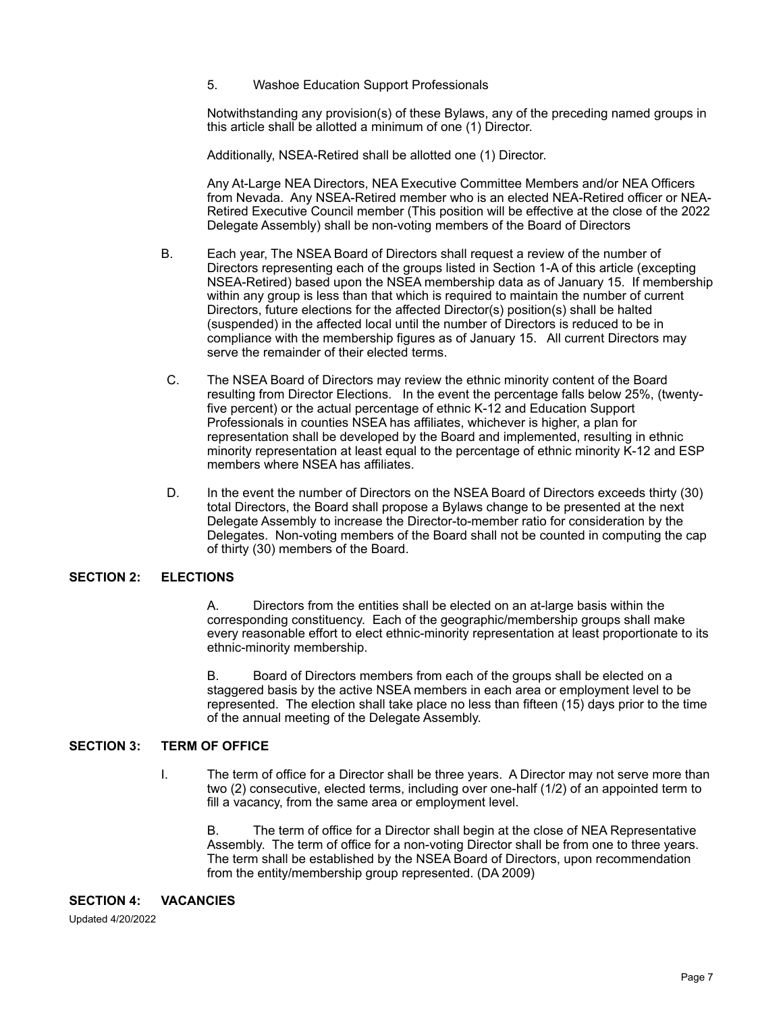5. Washoe Education Support Professionals

Notwithstanding any provision(s) of these Bylaws, any of the preceding named groups in this article shall be allotted a minimum of one (1) Director.

Additionally, NSEA-Retired shall be allotted one (1) Director.

Any At-Large NEA Directors, NEA Executive Committee Members and/or NEA Officers from Nevada. Any NSEA-Retired member who is an elected NEA-Retired officer or NEA-Retired Executive Council member (This position will be effective at the close of the 2022 Delegate Assembly) shall be non-voting members of the Board of Directors

- B. Each year, The NSEA Board of Directors shall request a review of the number of Directors representing each of the groups listed in Section 1-A of this article (excepting NSEA-Retired) based upon the NSEA membership data as of January 15. If membership within any group is less than that which is required to maintain the number of current Directors, future elections for the affected Director(s) position(s) shall be halted (suspended) in the affected local until the number of Directors is reduced to be in compliance with the membership figures as of January 15. All current Directors may serve the remainder of their elected terms.
- C. The NSEA Board of Directors may review the ethnic minority content of the Board resulting from Director Elections. In the event the percentage falls below 25%, (twentyfive percent) or the actual percentage of ethnic K-12 and Education Support Professionals in counties NSEA has affiliates, whichever is higher, a plan for representation shall be developed by the Board and implemented, resulting in ethnic minority representation at least equal to the percentage of ethnic minority K-12 and ESP members where NSEA has affiliates.
- D. In the event the number of Directors on the NSEA Board of Directors exceeds thirty (30) total Directors, the Board shall propose a Bylaws change to be presented at the next Delegate Assembly to increase the Director-to-member ratio for consideration by the Delegates. Non-voting members of the Board shall not be counted in computing the cap of thirty (30) members of the Board.

# **SECTION 2: ELECTIONS**

A. Directors from the entities shall be elected on an at-large basis within the corresponding constituency. Each of the geographic/membership groups shall make every reasonable effort to elect ethnic-minority representation at least proportionate to its ethnic-minority membership.

B. Board of Directors members from each of the groups shall be elected on a staggered basis by the active NSEA members in each area or employment level to be represented. The election shall take place no less than fifteen (15) days prior to the time of the annual meeting of the Delegate Assembly.

# **SECTION 3: TERM OF OFFICE**

I. The term of office for a Director shall be three years. A Director may not serve more than two (2) consecutive, elected terms, including over one-half (1/2) of an appointed term to fill a vacancy, from the same area or employment level.

B. The term of office for a Director shall begin at the close of NEA Representative Assembly. The term of office for a non-voting Director shall be from one to three years. The term shall be established by the NSEA Board of Directors, upon recommendation from the entity/membership group represented. (DA 2009)

### **SECTION 4: VACANCIES**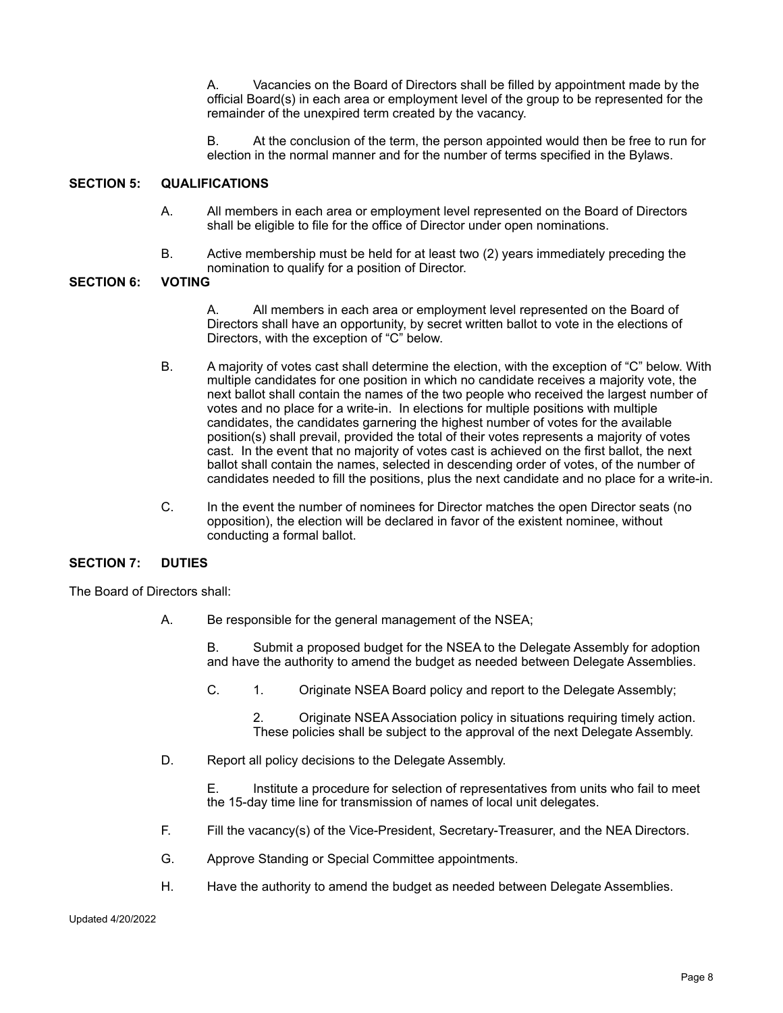A. Vacancies on the Board of Directors shall be filled by appointment made by the official Board(s) in each area or employment level of the group to be represented for the remainder of the unexpired term created by the vacancy.

B. At the conclusion of the term, the person appointed would then be free to run for election in the normal manner and for the number of terms specified in the Bylaws.

### **SECTION 5: QUALIFICATIONS**

- A. All members in each area or employment level represented on the Board of Directors shall be eligible to file for the office of Director under open nominations.
- B. Active membership must be held for at least two (2) years immediately preceding the nomination to qualify for a position of Director.<br>VOTING

### **SECTION 6:**

A. All members in each area or employment level represented on the Board of Directors shall have an opportunity, by secret written ballot to vote in the elections of Directors, with the exception of "C" below.

- B. A majority of votes cast shall determine the election, with the exception of "C" below. With multiple candidates for one position in which no candidate receives a majority vote, the next ballot shall contain the names of the two people who received the largest number of votes and no place for a write-in. In elections for multiple positions with multiple candidates, the candidates garnering the highest number of votes for the available position(s) shall prevail, provided the total of their votes represents a majority of votes cast. In the event that no majority of votes cast is achieved on the first ballot, the next ballot shall contain the names, selected in descending order of votes, of the number of candidates needed to fill the positions, plus the next candidate and no place for a write-in.
- C. In the event the number of nominees for Director matches the open Director seats (no opposition), the election will be declared in favor of the existent nominee, without conducting a formal ballot.

### **SECTION 7: DUTIES**

The Board of Directors shall:

A. Be responsible for the general management of the NSEA;

B. Submit a proposed budget for the NSEA to the Delegate Assembly for adoption and have the authority to amend the budget as needed between Delegate Assemblies.

C. 1. Originate NSEA Board policy and report to the Delegate Assembly;

2. Originate NSEA Association policy in situations requiring timely action. These policies shall be subject to the approval of the next Delegate Assembly.

D. Report all policy decisions to the Delegate Assembly.

E. Institute a procedure for selection of representatives from units who fail to meet the 15-day time line for transmission of names of local unit delegates.

- F. Fill the vacancy(s) of the Vice-President, Secretary-Treasurer, and the NEA Directors.
- G. Approve Standing or Special Committee appointments.
- H. Have the authority to amend the budget as needed between Delegate Assemblies.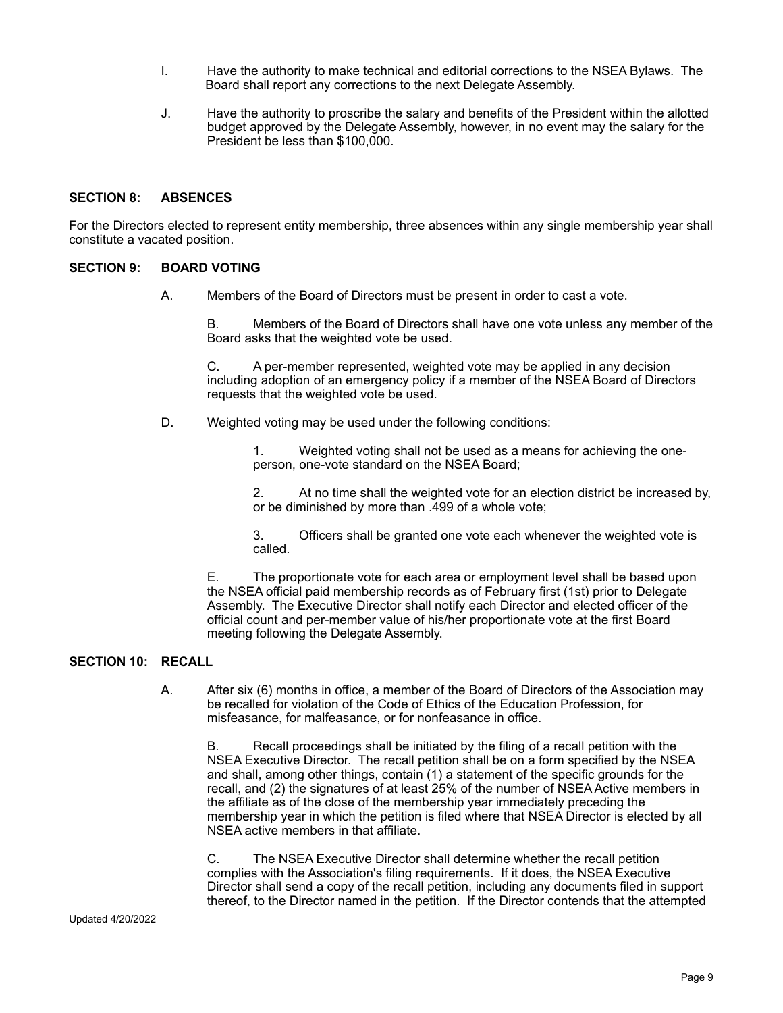- I. Have the authority to make technical and editorial corrections to the NSEA Bylaws. The Board shall report any corrections to the next Delegate Assembly.
- J. Have the authority to proscribe the salary and benefits of the President within the allotted budget approved by the Delegate Assembly, however, in no event may the salary for the President be less than \$100,000.

### **SECTION 8: ABSENCES**

For the Directors elected to represent entity membership, three absences within any single membership year shall constitute a vacated position.

### **SECTION 9: BOARD VOTING**

A. Members of the Board of Directors must be present in order to cast a vote.

B. Members of the Board of Directors shall have one vote unless any member of the Board asks that the weighted vote be used.

C. A per-member represented, weighted vote may be applied in any decision including adoption of an emergency policy if a member of the NSEA Board of Directors requests that the weighted vote be used.

D. Weighted voting may be used under the following conditions:

1. Weighted voting shall not be used as a means for achieving the oneperson, one-vote standard on the NSEA Board;

2. At no time shall the weighted vote for an election district be increased by, or be diminished by more than .499 of a whole vote;

3. Officers shall be granted one vote each whenever the weighted vote is called.

E. The proportionate vote for each area or employment level shall be based upon the NSEA official paid membership records as of February first (1st) prior to Delegate Assembly. The Executive Director shall notify each Director and elected officer of the official count and per-member value of his/her proportionate vote at the first Board meeting following the Delegate Assembly.

# **SECTION 10: RECALL**

A. After six (6) months in office, a member of the Board of Directors of the Association may be recalled for violation of the Code of Ethics of the Education Profession, for misfeasance, for malfeasance, or for nonfeasance in office.

Recall proceedings shall be initiated by the filing of a recall petition with the NSEA Executive Director. The recall petition shall be on a form specified by the NSEA and shall, among other things, contain (1) a statement of the specific grounds for the recall, and (2) the signatures of at least 25% of the number of NSEA Active members in the affiliate as of the close of the membership year immediately preceding the membership year in which the petition is filed where that NSEA Director is elected by all NSEA active members in that affiliate.

C. The NSEA Executive Director shall determine whether the recall petition complies with the Association's filing requirements. If it does, the NSEA Executive Director shall send a copy of the recall petition, including any documents filed in support thereof, to the Director named in the petition. If the Director contends that the attempted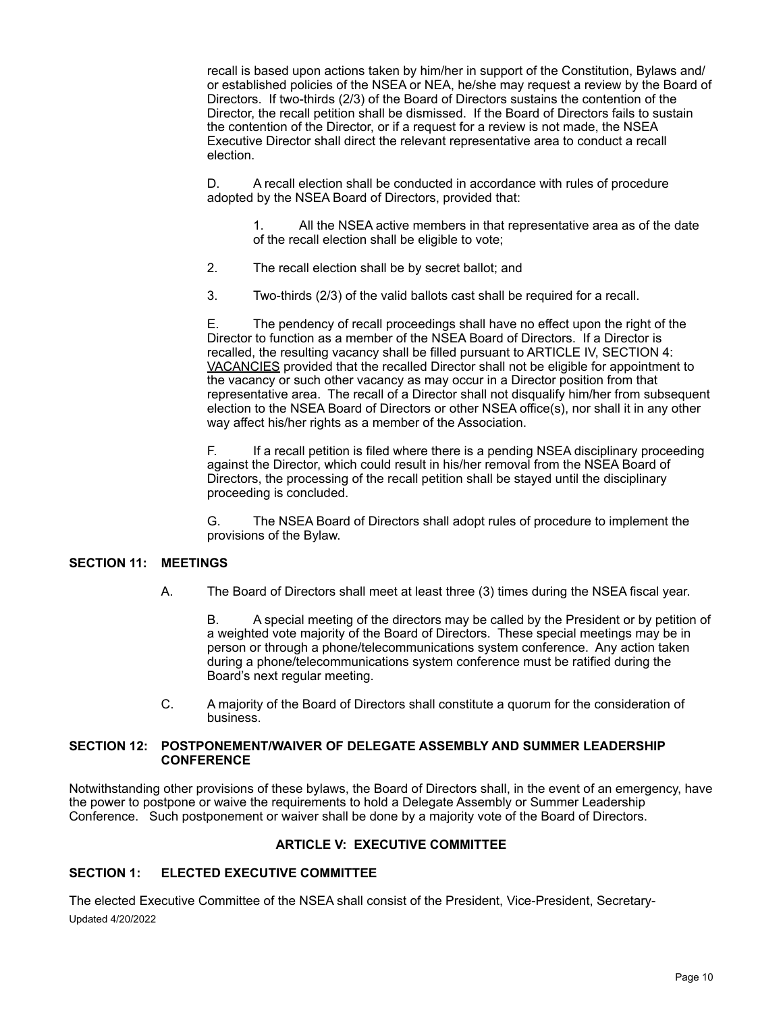recall is based upon actions taken by him/her in support of the Constitution, Bylaws and/ or established policies of the NSEA or NEA, he/she may request a review by the Board of Directors. If two-thirds (2/3) of the Board of Directors sustains the contention of the Director, the recall petition shall be dismissed. If the Board of Directors fails to sustain the contention of the Director, or if a request for a review is not made, the NSEA Executive Director shall direct the relevant representative area to conduct a recall election.

D. A recall election shall be conducted in accordance with rules of procedure adopted by the NSEA Board of Directors, provided that:

1. All the NSEA active members in that representative area as of the date of the recall election shall be eligible to vote;

- 2. The recall election shall be by secret ballot; and
- 3. Two-thirds (2/3) of the valid ballots cast shall be required for a recall.

E. The pendency of recall proceedings shall have no effect upon the right of the Director to function as a member of the NSEA Board of Directors. If a Director is recalled, the resulting vacancy shall be filled pursuant to ARTICLE IV, SECTION 4: VACANCIES provided that the recalled Director shall not be eligible for appointment to the vacancy or such other vacancy as may occur in a Director position from that representative area. The recall of a Director shall not disqualify him/her from subsequent election to the NSEA Board of Directors or other NSEA office(s), nor shall it in any other way affect his/her rights as a member of the Association.

F. If a recall petition is filed where there is a pending NSEA disciplinary proceeding against the Director, which could result in his/her removal from the NSEA Board of Directors, the processing of the recall petition shall be stayed until the disciplinary proceeding is concluded.

G. The NSEA Board of Directors shall adopt rules of procedure to implement the provisions of the Bylaw.

### **SECTION 11: MEETINGS**

A. The Board of Directors shall meet at least three (3) times during the NSEA fiscal year.

B. A special meeting of the directors may be called by the President or by petition of a weighted vote majority of the Board of Directors. These special meetings may be in person or through a phone/telecommunications system conference. Any action taken during a phone/telecommunications system conference must be ratified during the Board's next regular meeting.

C. A majority of the Board of Directors shall constitute a quorum for the consideration of business.

#### **SECTION 12: POSTPONEMENT/WAIVER OF DELEGATE ASSEMBLY AND SUMMER LEADERSHIP CONFERENCE**

Notwithstanding other provisions of these bylaws, the Board of Directors shall, in the event of an emergency, have the power to postpone or waive the requirements to hold a Delegate Assembly or Summer Leadership Conference. Such postponement or waiver shall be done by a majority vote of the Board of Directors.

### **ARTICLE V: EXECUTIVE COMMITTEE**

# **SECTION 1: ELECTED EXECUTIVE COMMITTEE**

The elected Executive Committee of the NSEA shall consist of the President, Vice-President, Secretary-Updated 4/20/2022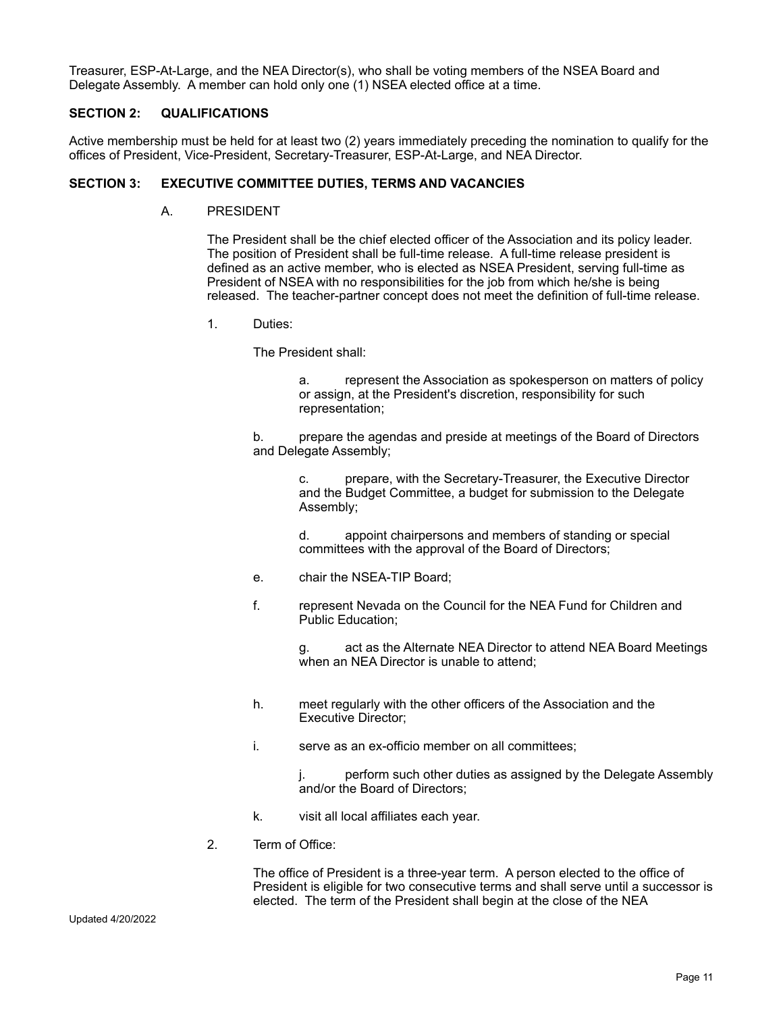Treasurer, ESP-At-Large, and the NEA Director(s), who shall be voting members of the NSEA Board and Delegate Assembly. A member can hold only one (1) NSEA elected office at a time.

### **SECTION 2: QUALIFICATIONS**

Active membership must be held for at least two (2) years immediately preceding the nomination to qualify for the offices of President, Vice-President, Secretary-Treasurer, ESP-At-Large, and NEA Director.

#### **SECTION 3: EXECUTIVE COMMITTEE DUTIES, TERMS AND VACANCIES**

A. PRESIDENT

The President shall be the chief elected officer of the Association and its policy leader. The position of President shall be full-time release. A full-time release president is defined as an active member, who is elected as NSEA President, serving full-time as President of NSEA with no responsibilities for the job from which he/she is being released. The teacher-partner concept does not meet the definition of full-time release.

1. Duties:

The President shall:

a. represent the Association as spokesperson on matters of policy or assign, at the President's discretion, responsibility for such representation;

b. prepare the agendas and preside at meetings of the Board of Directors and Delegate Assembly;

> c. prepare, with the Secretary-Treasurer, the Executive Director and the Budget Committee, a budget for submission to the Delegate Assembly;

d. appoint chairpersons and members of standing or special committees with the approval of the Board of Directors;

- e. chair the NSEA-TIP Board;
- f. represent Nevada on the Council for the NEA Fund for Children and Public Education;

g. act as the Alternate NEA Director to attend NEA Board Meetings when an NEA Director is unable to attend;

- h. meet regularly with the other officers of the Association and the Executive Director;
- i. serve as an ex-officio member on all committees;

j. perform such other duties as assigned by the Delegate Assembly and/or the Board of Directors;

- k. visit all local affiliates each year.
- 2. Term of Office:

The office of President is a three-year term. A person elected to the office of President is eligible for two consecutive terms and shall serve until a successor is elected. The term of the President shall begin at the close of the NEA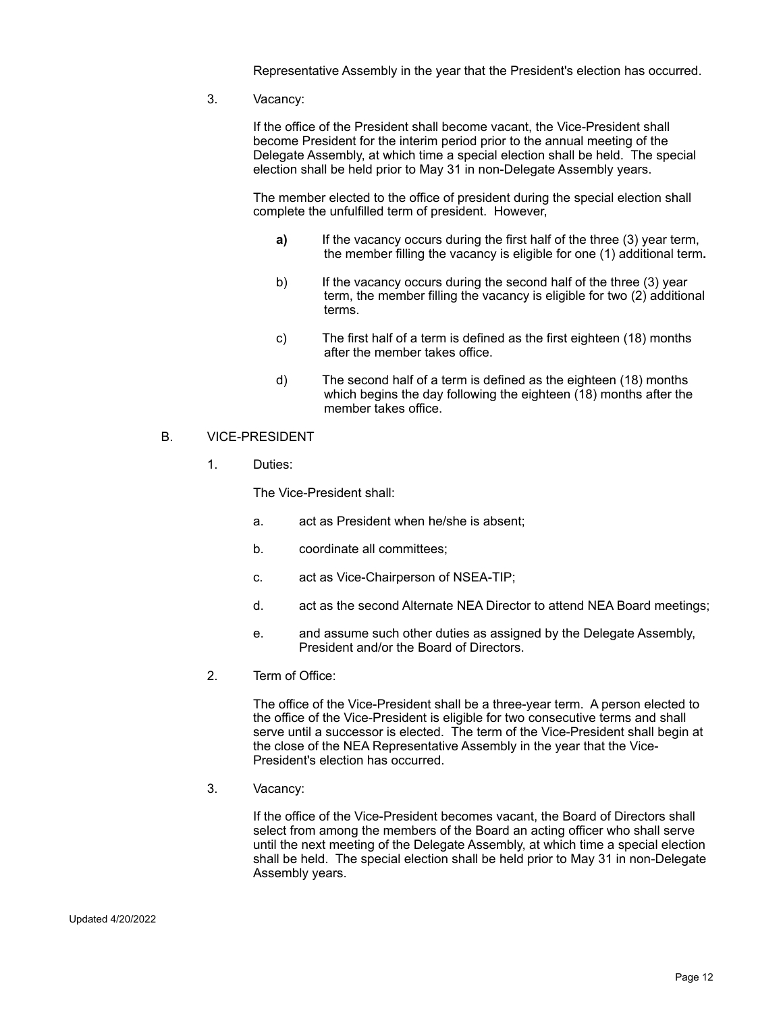Representative Assembly in the year that the President's election has occurred.

3. Vacancy:

If the office of the President shall become vacant, the Vice-President shall become President for the interim period prior to the annual meeting of the Delegate Assembly, at which time a special election shall be held. The special election shall be held prior to May 31 in non-Delegate Assembly years.

The member elected to the office of president during the special election shall complete the unfulfilled term of president. However,

- **a)** If the vacancy occurs during the first half of the three (3) year term, the member filling the vacancy is eligible for one (1) additional term**.**
- b) If the vacancy occurs during the second half of the three (3) year term, the member filling the vacancy is eligible for two (2) additional terms.
- c) The first half of a term is defined as the first eighteen (18) months after the member takes office.
- d) The second half of a term is defined as the eighteen (18) months which begins the day following the eighteen (18) months after the member takes office.
- B. VICE-PRESIDENT
	- 1. Duties:

The Vice-President shall:

- a. act as President when he/she is absent;
- b. coordinate all committees;
- c. act as Vice-Chairperson of NSEA-TIP;
- d. act as the second Alternate NEA Director to attend NEA Board meetings;
- e. and assume such other duties as assigned by the Delegate Assembly, President and/or the Board of Directors.
- 2. Term of Office:

The office of the Vice-President shall be a three-year term. A person elected to the office of the Vice-President is eligible for two consecutive terms and shall serve until a successor is elected. The term of the Vice-President shall begin at the close of the NEA Representative Assembly in the year that the Vice-President's election has occurred.

3. Vacancy:

If the office of the Vice-President becomes vacant, the Board of Directors shall select from among the members of the Board an acting officer who shall serve until the next meeting of the Delegate Assembly, at which time a special election shall be held. The special election shall be held prior to May 31 in non-Delegate Assembly years.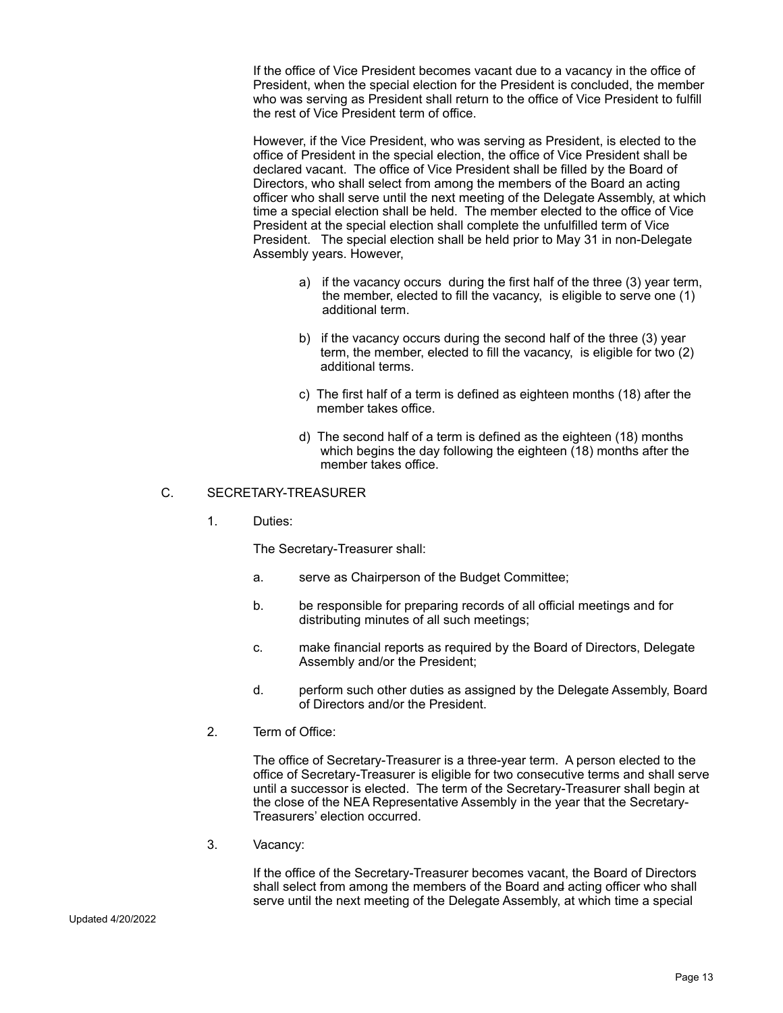If the office of Vice President becomes vacant due to a vacancy in the office of President, when the special election for the President is concluded, the member who was serving as President shall return to the office of Vice President to fulfill the rest of Vice President term of office.

However, if the Vice President, who was serving as President, is elected to the office of President in the special election, the office of Vice President shall be declared vacant. The office of Vice President shall be filled by the Board of Directors, who shall select from among the members of the Board an acting officer who shall serve until the next meeting of the Delegate Assembly, at which time a special election shall be held. The member elected to the office of Vice President at the special election shall complete the unfulfilled term of Vice President. The special election shall be held prior to May 31 in non-Delegate Assembly years. However,

- a) if the vacancy occurs during the first half of the three (3) year term, the member, elected to fill the vacancy, is eligible to serve one (1) additional term.
- b) if the vacancy occurs during the second half of the three (3) year term, the member, elected to fill the vacancy, is eligible for two (2) additional terms.
- c) The first half of a term is defined as eighteen months (18) after the member takes office.
- d) The second half of a term is defined as the eighteen (18) months which begins the day following the eighteen (18) months after the member takes office.

## C. SECRETARY-TREASURER

1. Duties:

The Secretary-Treasurer shall:

- a. serve as Chairperson of the Budget Committee;
- b. be responsible for preparing records of all official meetings and for distributing minutes of all such meetings;
- c. make financial reports as required by the Board of Directors, Delegate Assembly and/or the President;
- d. perform such other duties as assigned by the Delegate Assembly, Board of Directors and/or the President.
- 2. Term of Office:

The office of Secretary-Treasurer is a three-year term. A person elected to the office of Secretary-Treasurer is eligible for two consecutive terms and shall serve until a successor is elected. The term of the Secretary-Treasurer shall begin at the close of the NEA Representative Assembly in the year that the Secretary-Treasurers' election occurred.

3. Vacancy:

If the office of the Secretary-Treasurer becomes vacant, the Board of Directors shall select from among the members of the Board and acting officer who shall serve until the next meeting of the Delegate Assembly, at which time a special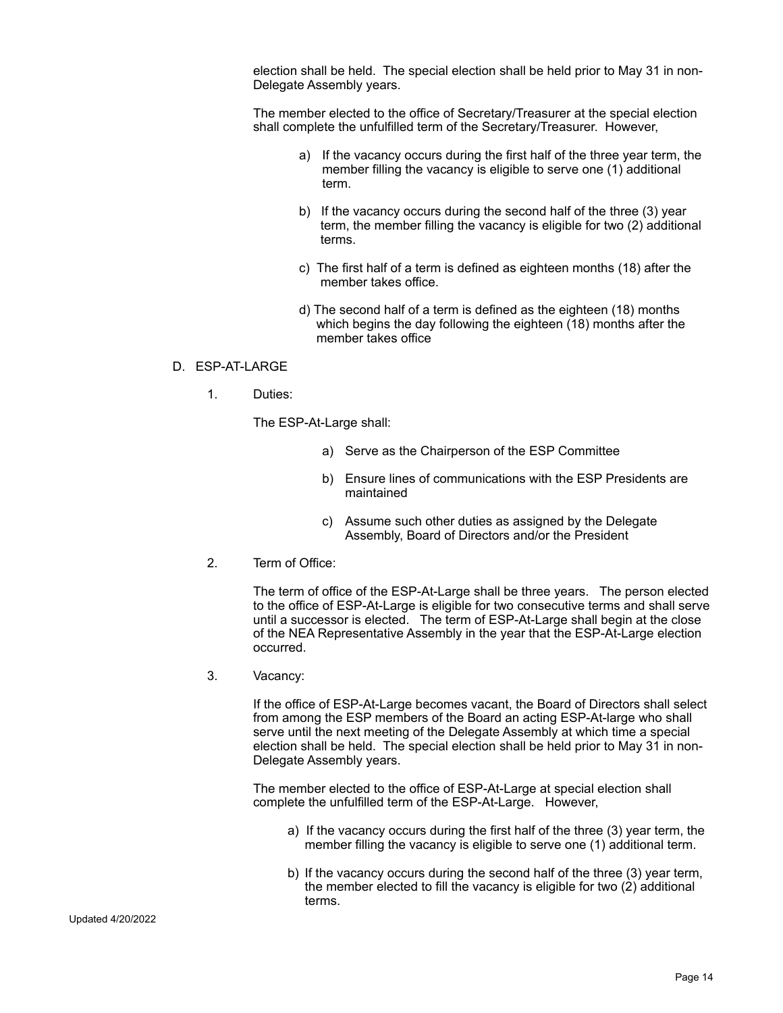election shall be held. The special election shall be held prior to May 31 in non-Delegate Assembly years.

The member elected to the office of Secretary/Treasurer at the special election shall complete the unfulfilled term of the Secretary/Treasurer. However,

- a) If the vacancy occurs during the first half of the three year term, the member filling the vacancy is eligible to serve one (1) additional term.
- b) If the vacancy occurs during the second half of the three (3) year term, the member filling the vacancy is eligible for two (2) additional terms.
- c) The first half of a term is defined as eighteen months (18) after the member takes office.
- d) The second half of a term is defined as the eighteen (18) months which begins the day following the eighteen (18) months after the member takes office

### D. ESP-AT-LARGE

1. Duties:

The ESP-At-Large shall:

- a) Serve as the Chairperson of the ESP Committee
- b) Ensure lines of communications with the ESP Presidents are maintained
- c) Assume such other duties as assigned by the Delegate Assembly, Board of Directors and/or the President
- 2. Term of Office:

The term of office of the ESP-At-Large shall be three years. The person elected to the office of ESP-At-Large is eligible for two consecutive terms and shall serve until a successor is elected. The term of ESP-At-Large shall begin at the close of the NEA Representative Assembly in the year that the ESP-At-Large election occurred.

3. Vacancy:

If the office of ESP-At-Large becomes vacant, the Board of Directors shall select from among the ESP members of the Board an acting ESP-At-large who shall serve until the next meeting of the Delegate Assembly at which time a special election shall be held. The special election shall be held prior to May 31 in non-Delegate Assembly years.

The member elected to the office of ESP-At-Large at special election shall complete the unfulfilled term of the ESP-At-Large. However,

- a) If the vacancy occurs during the first half of the three (3) year term, the member filling the vacancy is eligible to serve one (1) additional term.
- b) If the vacancy occurs during the second half of the three (3) year term, the member elected to fill the vacancy is eligible for two (2) additional terms.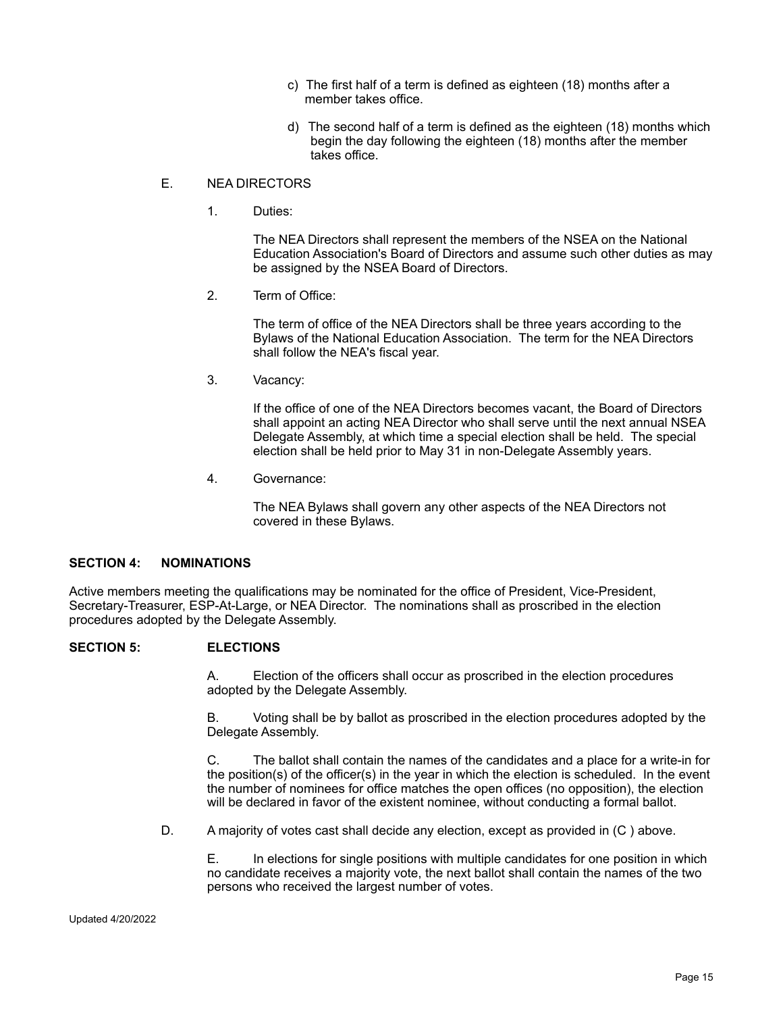- c) The first half of a term is defined as eighteen (18) months after a member takes office.
- d) The second half of a term is defined as the eighteen (18) months which begin the day following the eighteen (18) months after the member takes office.

### E. NEA DIRECTORS

1. Duties:

The NEA Directors shall represent the members of the NSEA on the National Education Association's Board of Directors and assume such other duties as may be assigned by the NSEA Board of Directors.

2. Term of Office:

The term of office of the NEA Directors shall be three years according to the Bylaws of the National Education Association. The term for the NEA Directors shall follow the NEA's fiscal year.

3. Vacancy:

If the office of one of the NEA Directors becomes vacant, the Board of Directors shall appoint an acting NEA Director who shall serve until the next annual NSEA Delegate Assembly, at which time a special election shall be held. The special election shall be held prior to May 31 in non-Delegate Assembly years.

4. Governance:

The NEA Bylaws shall govern any other aspects of the NEA Directors not covered in these Bylaws.

# **SECTION 4: NOMINATIONS**

Active members meeting the qualifications may be nominated for the office of President, Vice-President, Secretary-Treasurer, ESP-At-Large, or NEA Director. The nominations shall as proscribed in the election procedures adopted by the Delegate Assembly.

# **SECTION 5: ELECTIONS**

A. Election of the officers shall occur as proscribed in the election procedures adopted by the Delegate Assembly.

B. Voting shall be by ballot as proscribed in the election procedures adopted by the Delegate Assembly.

C. The ballot shall contain the names of the candidates and a place for a write-in for the position(s) of the officer(s) in the year in which the election is scheduled. In the event the number of nominees for office matches the open offices (no opposition), the election will be declared in favor of the existent nominee, without conducting a formal ballot.

D. A majority of votes cast shall decide any election, except as provided in (C ) above.

E. In elections for single positions with multiple candidates for one position in which no candidate receives a majority vote, the next ballot shall contain the names of the two persons who received the largest number of votes.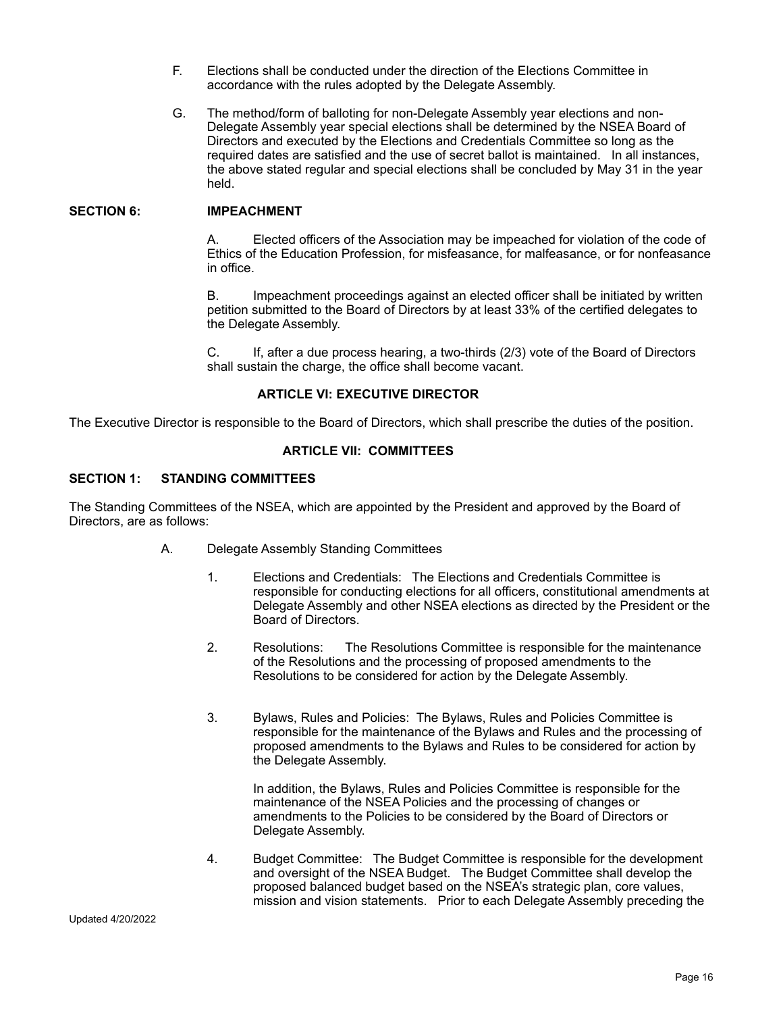- F. Elections shall be conducted under the direction of the Elections Committee in accordance with the rules adopted by the Delegate Assembly.
- G. The method/form of balloting for non-Delegate Assembly year elections and non-Delegate Assembly year special elections shall be determined by the NSEA Board of Directors and executed by the Elections and Credentials Committee so long as the required dates are satisfied and the use of secret ballot is maintained. In all instances, the above stated regular and special elections shall be concluded by May 31 in the year held.

#### **SECTION 6: IMPEACHMENT**

A. Elected officers of the Association may be impeached for violation of the code of Ethics of the Education Profession, for misfeasance, for malfeasance, or for nonfeasance in office.

B. Impeachment proceedings against an elected officer shall be initiated by written petition submitted to the Board of Directors by at least 33% of the certified delegates to the Delegate Assembly.

C. If, after a due process hearing, a two-thirds (2/3) vote of the Board of Directors shall sustain the charge, the office shall become vacant.

### **ARTICLE VI: EXECUTIVE DIRECTOR**

The Executive Director is responsible to the Board of Directors, which shall prescribe the duties of the position.

### **ARTICLE VII: COMMITTEES**

#### **SECTION 1: STANDING COMMITTEES**

The Standing Committees of the NSEA, which are appointed by the President and approved by the Board of Directors, are as follows:

- A. Delegate Assembly Standing Committees
	- 1. Elections and Credentials: The Elections and Credentials Committee is responsible for conducting elections for all officers, constitutional amendments at Delegate Assembly and other NSEA elections as directed by the President or the Board of Directors.
	- 2. Resolutions: The Resolutions Committee is responsible for the maintenance of the Resolutions and the processing of proposed amendments to the Resolutions to be considered for action by the Delegate Assembly.
	- 3. Bylaws, Rules and Policies: The Bylaws, Rules and Policies Committee is responsible for the maintenance of the Bylaws and Rules and the processing of proposed amendments to the Bylaws and Rules to be considered for action by the Delegate Assembly.

In addition, the Bylaws, Rules and Policies Committee is responsible for the maintenance of the NSEA Policies and the processing of changes or amendments to the Policies to be considered by the Board of Directors or Delegate Assembly.

4. Budget Committee: The Budget Committee is responsible for the development and oversight of the NSEA Budget. The Budget Committee shall develop the proposed balanced budget based on the NSEA's strategic plan, core values, mission and vision statements. Prior to each Delegate Assembly preceding the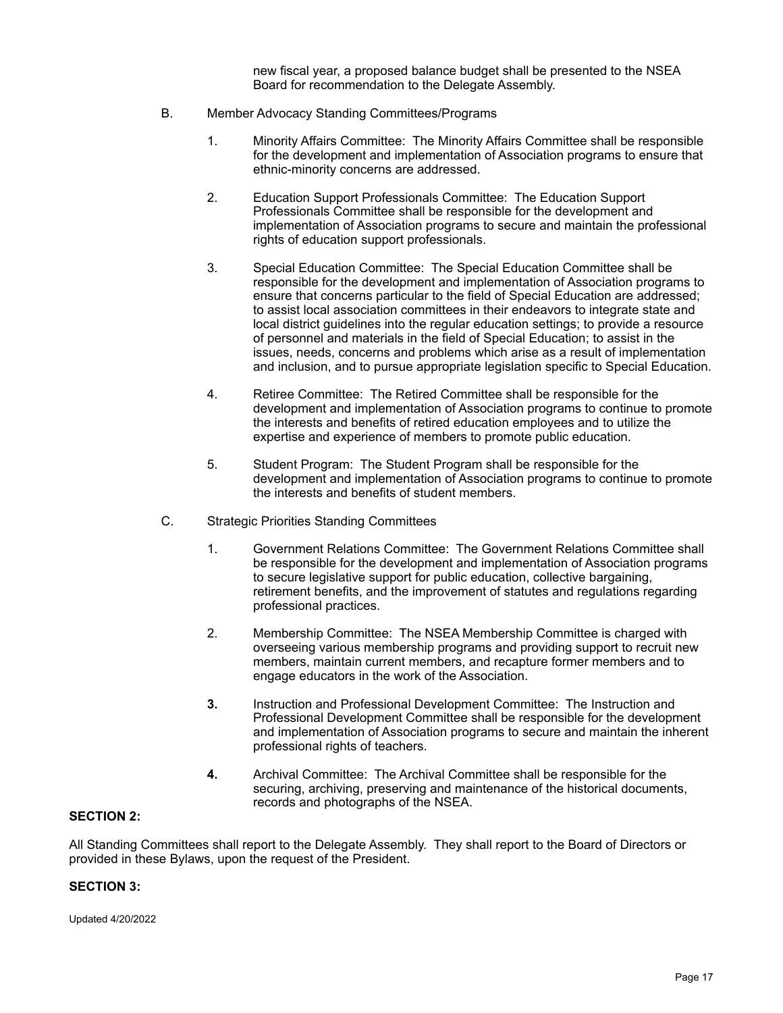new fiscal year, a proposed balance budget shall be presented to the NSEA Board for recommendation to the Delegate Assembly.

- B. Member Advocacy Standing Committees/Programs
	- 1. Minority Affairs Committee: The Minority Affairs Committee shall be responsible for the development and implementation of Association programs to ensure that ethnic-minority concerns are addressed.
	- 2. Education Support Professionals Committee: The Education Support Professionals Committee shall be responsible for the development and implementation of Association programs to secure and maintain the professional rights of education support professionals.
	- 3. Special Education Committee: The Special Education Committee shall be responsible for the development and implementation of Association programs to ensure that concerns particular to the field of Special Education are addressed; to assist local association committees in their endeavors to integrate state and local district guidelines into the regular education settings; to provide a resource of personnel and materials in the field of Special Education; to assist in the issues, needs, concerns and problems which arise as a result of implementation and inclusion, and to pursue appropriate legislation specific to Special Education.
	- 4. Retiree Committee: The Retired Committee shall be responsible for the development and implementation of Association programs to continue to promote the interests and benefits of retired education employees and to utilize the expertise and experience of members to promote public education.
	- 5. Student Program: The Student Program shall be responsible for the development and implementation of Association programs to continue to promote the interests and benefits of student members.
- C. Strategic Priorities Standing Committees
	- 1. Government Relations Committee: The Government Relations Committee shall be responsible for the development and implementation of Association programs to secure legislative support for public education, collective bargaining, retirement benefits, and the improvement of statutes and regulations regarding professional practices.
	- 2. Membership Committee: The NSEA Membership Committee is charged with overseeing various membership programs and providing support to recruit new members, maintain current members, and recapture former members and to engage educators in the work of the Association.
	- **3.** Instruction and Professional Development Committee: The Instruction and Professional Development Committee shall be responsible for the development and implementation of Association programs to secure and maintain the inherent professional rights of teachers.
	- **4.** Archival Committee: The Archival Committee shall be responsible for the securing, archiving, preserving and maintenance of the historical documents, records and photographs of the NSEA.

# **SECTION 2:**

All Standing Committees shall report to the Delegate Assembly. They shall report to the Board of Directors or provided in these Bylaws, upon the request of the President.

# **SECTION 3:**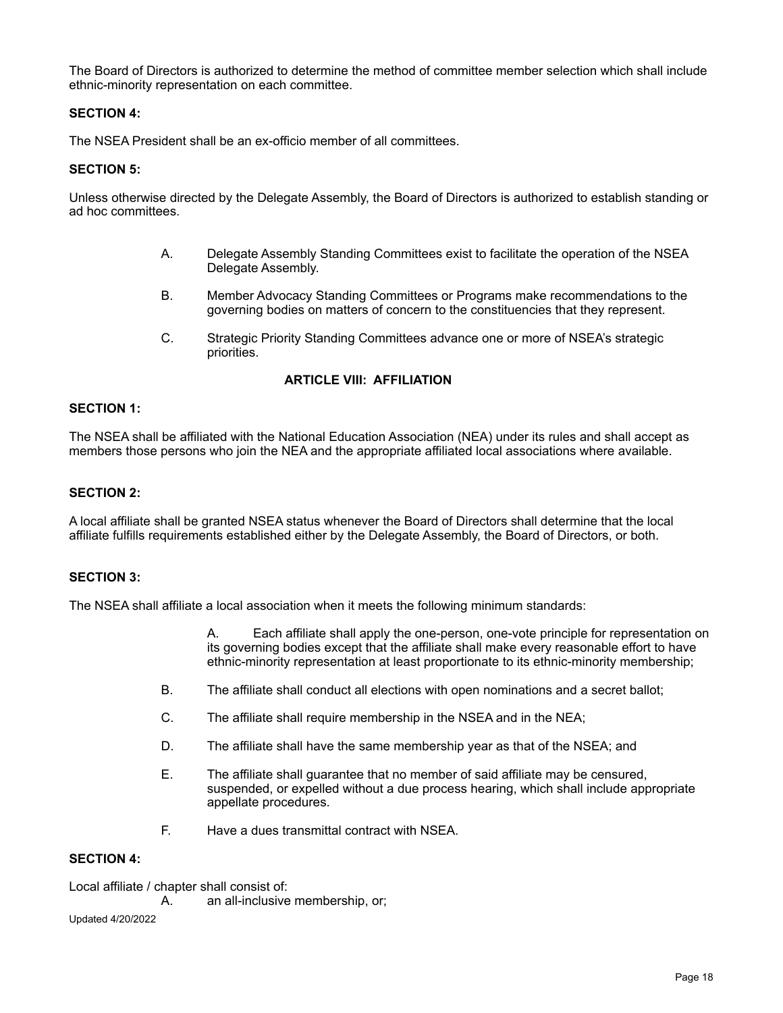The Board of Directors is authorized to determine the method of committee member selection which shall include ethnic-minority representation on each committee.

### **SECTION 4:**

The NSEA President shall be an ex-officio member of all committees.

### **SECTION 5:**

Unless otherwise directed by the Delegate Assembly, the Board of Directors is authorized to establish standing or ad hoc committees.

- A. Delegate Assembly Standing Committees exist to facilitate the operation of the NSEA Delegate Assembly.
- B. Member Advocacy Standing Committees or Programs make recommendations to the governing bodies on matters of concern to the constituencies that they represent.
- C. Strategic Priority Standing Committees advance one or more of NSEA's strategic priorities.

## **ARTICLE VIII: AFFILIATION**

#### **SECTION 1:**

The NSEA shall be affiliated with the National Education Association (NEA) under its rules and shall accept as members those persons who join the NEA and the appropriate affiliated local associations where available.

#### **SECTION 2:**

A local affiliate shall be granted NSEA status whenever the Board of Directors shall determine that the local affiliate fulfills requirements established either by the Delegate Assembly, the Board of Directors, or both.

#### **SECTION 3:**

The NSEA shall affiliate a local association when it meets the following minimum standards:

A. Each affiliate shall apply the one-person, one-vote principle for representation on its governing bodies except that the affiliate shall make every reasonable effort to have ethnic-minority representation at least proportionate to its ethnic-minority membership;

- B. The affiliate shall conduct all elections with open nominations and a secret ballot;
- C. The affiliate shall require membership in the NSEA and in the NEA;
- D. The affiliate shall have the same membership year as that of the NSEA; and
- E. The affiliate shall guarantee that no member of said affiliate may be censured, suspended, or expelled without a due process hearing, which shall include appropriate appellate procedures.
- F. Have a dues transmittal contract with NSEA.

# **SECTION 4:**

Local affiliate / chapter shall consist of:

A. an all-inclusive membership, or;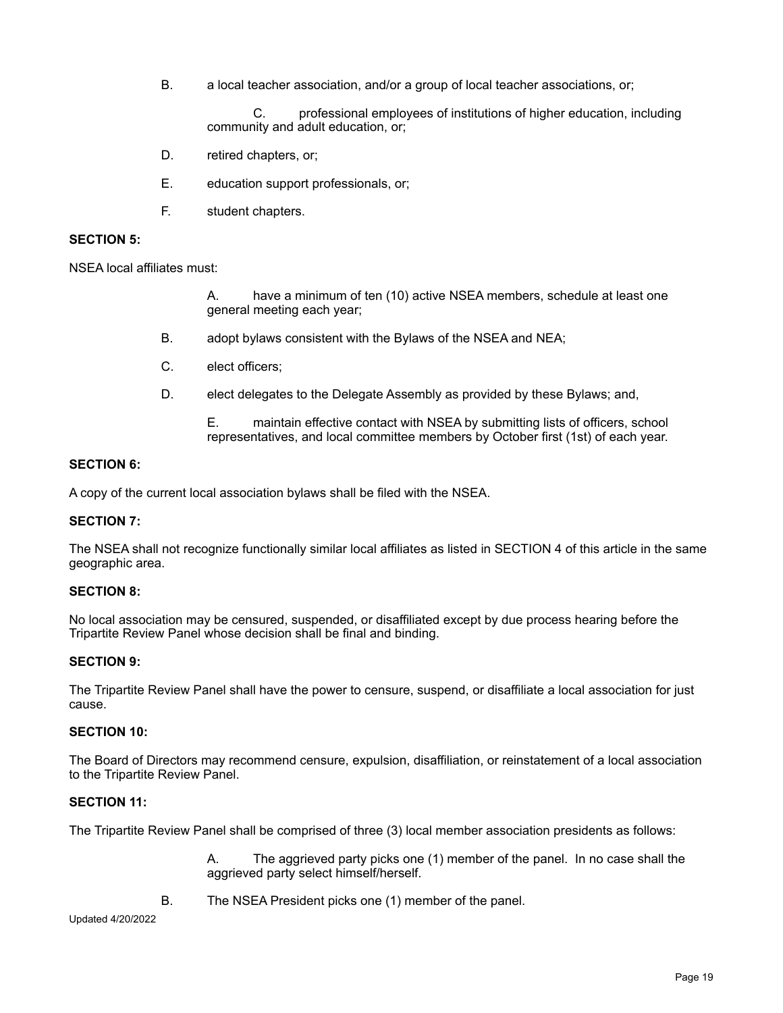B. a local teacher association, and/or a group of local teacher associations, or;

C. professional employees of institutions of higher education, including community and adult education, or;

- D. retired chapters, or;
- E. education support professionals, or;
- F. student chapters.

### **SECTION 5:**

NSEA local affiliates must:

A. have a minimum of ten (10) active NSEA members, schedule at least one general meeting each year;

- B. adopt bylaws consistent with the Bylaws of the NSEA and NEA;
- C. elect officers;
- D. elect delegates to the Delegate Assembly as provided by these Bylaws; and,

E. maintain effective contact with NSEA by submitting lists of officers, school representatives, and local committee members by October first (1st) of each year.

#### **SECTION 6:**

A copy of the current local association bylaws shall be filed with the NSEA.

### **SECTION 7:**

The NSEA shall not recognize functionally similar local affiliates as listed in SECTION 4 of this article in the same geographic area.

### **SECTION 8:**

No local association may be censured, suspended, or disaffiliated except by due process hearing before the Tripartite Review Panel whose decision shall be final and binding.

#### **SECTION 9:**

The Tripartite Review Panel shall have the power to censure, suspend, or disaffiliate a local association for just cause.

#### **SECTION 10:**

The Board of Directors may recommend censure, expulsion, disaffiliation, or reinstatement of a local association to the Tripartite Review Panel.

### **SECTION 11:**

The Tripartite Review Panel shall be comprised of three (3) local member association presidents as follows:

A. The aggrieved party picks one (1) member of the panel. In no case shall the aggrieved party select himself/herself.

B. The NSEA President picks one (1) member of the panel.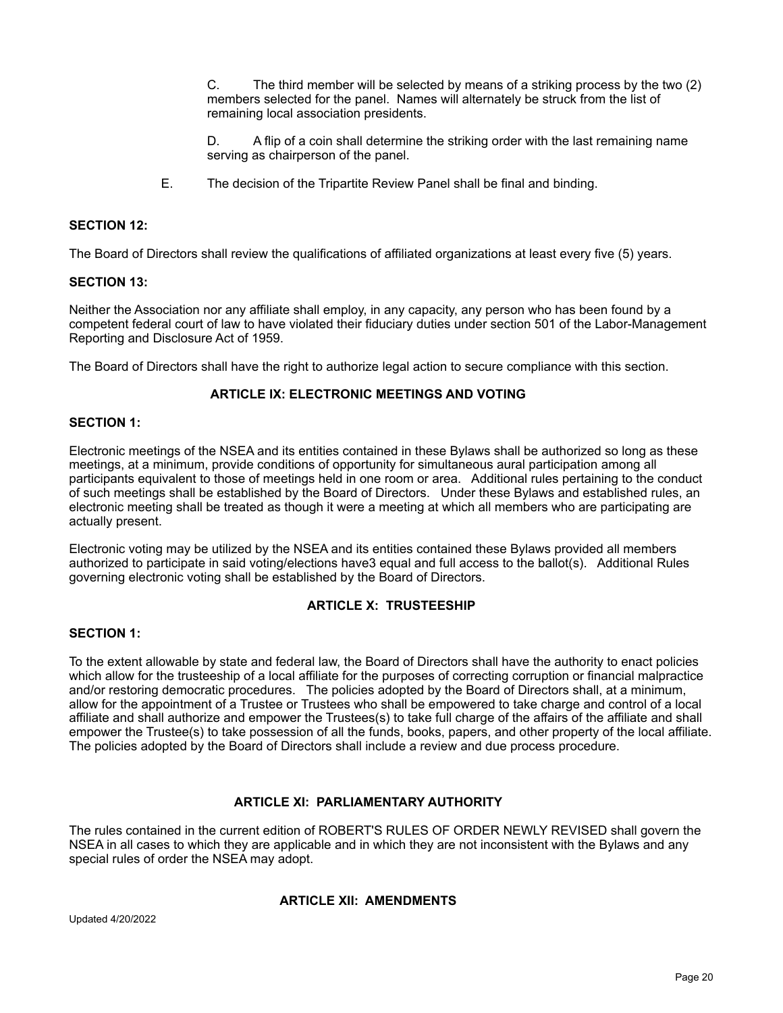C. The third member will be selected by means of a striking process by the two (2) members selected for the panel. Names will alternately be struck from the list of remaining local association presidents.

D. A flip of a coin shall determine the striking order with the last remaining name serving as chairperson of the panel.

E. The decision of the Tripartite Review Panel shall be final and binding.

### **SECTION 12:**

The Board of Directors shall review the qualifications of affiliated organizations at least every five (5) years.

#### **SECTION 13:**

Neither the Association nor any affiliate shall employ, in any capacity, any person who has been found by a competent federal court of law to have violated their fiduciary duties under section 501 of the Labor-Management Reporting and Disclosure Act of 1959.

The Board of Directors shall have the right to authorize legal action to secure compliance with this section.

### **ARTICLE IX: ELECTRONIC MEETINGS AND VOTING**

#### **SECTION 1:**

Electronic meetings of the NSEA and its entities contained in these Bylaws shall be authorized so long as these meetings, at a minimum, provide conditions of opportunity for simultaneous aural participation among all participants equivalent to those of meetings held in one room or area. Additional rules pertaining to the conduct of such meetings shall be established by the Board of Directors. Under these Bylaws and established rules, an electronic meeting shall be treated as though it were a meeting at which all members who are participating are actually present.

Electronic voting may be utilized by the NSEA and its entities contained these Bylaws provided all members authorized to participate in said voting/elections have3 equal and full access to the ballot(s). Additional Rules governing electronic voting shall be established by the Board of Directors.

### **ARTICLE X: TRUSTEESHIP**

#### **SECTION 1:**

To the extent allowable by state and federal law, the Board of Directors shall have the authority to enact policies which allow for the trusteeship of a local affiliate for the purposes of correcting corruption or financial malpractice and/or restoring democratic procedures. The policies adopted by the Board of Directors shall, at a minimum, allow for the appointment of a Trustee or Trustees who shall be empowered to take charge and control of a local affiliate and shall authorize and empower the Trustees(s) to take full charge of the affairs of the affiliate and shall empower the Trustee(s) to take possession of all the funds, books, papers, and other property of the local affiliate. The policies adopted by the Board of Directors shall include a review and due process procedure.

### **ARTICLE XI: PARLIAMENTARY AUTHORITY**

The rules contained in the current edition of ROBERT'S RULES OF ORDER NEWLY REVISED shall govern the NSEA in all cases to which they are applicable and in which they are not inconsistent with the Bylaws and any special rules of order the NSEA may adopt.

### **ARTICLE XII: AMENDMENTS**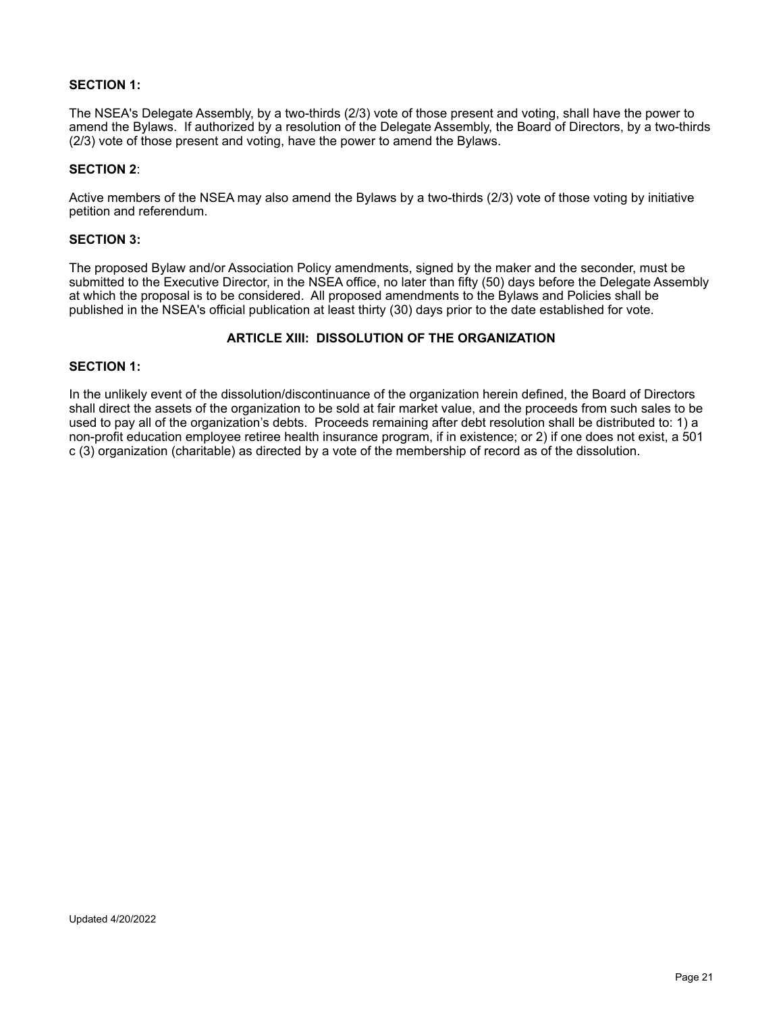### **SECTION 1:**

The NSEA's Delegate Assembly, by a two-thirds (2/3) vote of those present and voting, shall have the power to amend the Bylaws. If authorized by a resolution of the Delegate Assembly, the Board of Directors, by a two-thirds (2/3) vote of those present and voting, have the power to amend the Bylaws.

### **SECTION 2**:

Active members of the NSEA may also amend the Bylaws by a two-thirds (2/3) vote of those voting by initiative petition and referendum.

#### **SECTION 3:**

The proposed Bylaw and/or Association Policy amendments, signed by the maker and the seconder, must be submitted to the Executive Director, in the NSEA office, no later than fifty (50) days before the Delegate Assembly at which the proposal is to be considered. All proposed amendments to the Bylaws and Policies shall be published in the NSEA's official publication at least thirty (30) days prior to the date established for vote.

# **ARTICLE XIII: DISSOLUTION OF THE ORGANIZATION**

### **SECTION 1:**

In the unlikely event of the dissolution/discontinuance of the organization herein defined, the Board of Directors shall direct the assets of the organization to be sold at fair market value, and the proceeds from such sales to be used to pay all of the organization's debts. Proceeds remaining after debt resolution shall be distributed to: 1) a non-profit education employee retiree health insurance program, if in existence; or 2) if one does not exist, a 501 c (3) organization (charitable) as directed by a vote of the membership of record as of the dissolution.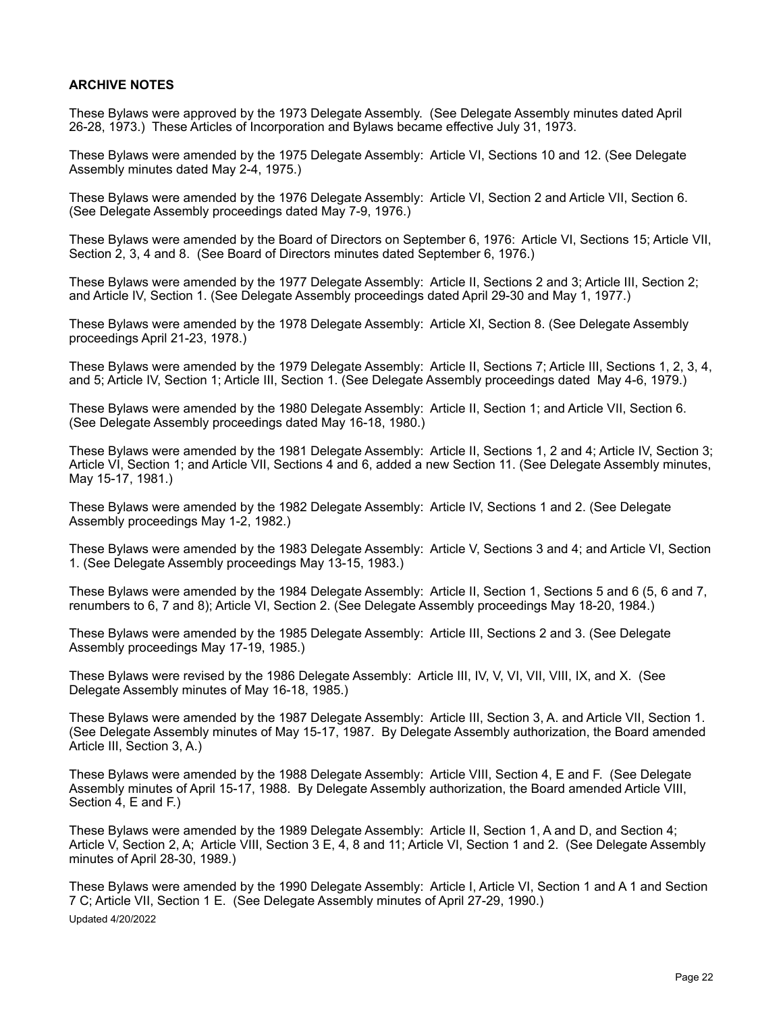## **ARCHIVE NOTES**

These Bylaws were approved by the 1973 Delegate Assembly. (See Delegate Assembly minutes dated April 26-28, 1973.) These Articles of Incorporation and Bylaws became effective July 31, 1973.

These Bylaws were amended by the 1975 Delegate Assembly: Article VI, Sections 10 and 12. (See Delegate Assembly minutes dated May 2-4, 1975.)

These Bylaws were amended by the 1976 Delegate Assembly: Article VI, Section 2 and Article VII, Section 6. (See Delegate Assembly proceedings dated May 7-9, 1976.)

These Bylaws were amended by the Board of Directors on September 6, 1976: Article VI, Sections 15; Article VII, Section 2, 3, 4 and 8. (See Board of Directors minutes dated September 6, 1976.)

These Bylaws were amended by the 1977 Delegate Assembly: Article II, Sections 2 and 3; Article III, Section 2; and Article IV, Section 1. (See Delegate Assembly proceedings dated April 29-30 and May 1, 1977.)

These Bylaws were amended by the 1978 Delegate Assembly: Article XI, Section 8. (See Delegate Assembly proceedings April 21-23, 1978.)

These Bylaws were amended by the 1979 Delegate Assembly: Article II, Sections 7; Article III, Sections 1, 2, 3, 4, and 5; Article IV, Section 1; Article III, Section 1. (See Delegate Assembly proceedings dated May 4-6, 1979.)

These Bylaws were amended by the 1980 Delegate Assembly: Article II, Section 1; and Article VII, Section 6. (See Delegate Assembly proceedings dated May 16-18, 1980.)

These Bylaws were amended by the 1981 Delegate Assembly: Article II, Sections 1, 2 and 4; Article IV, Section 3; Article VI, Section 1; and Article VII, Sections 4 and 6, added a new Section 11. (See Delegate Assembly minutes, May 15-17, 1981.)

These Bylaws were amended by the 1982 Delegate Assembly: Article IV, Sections 1 and 2. (See Delegate Assembly proceedings May 1-2, 1982.)

These Bylaws were amended by the 1983 Delegate Assembly: Article V, Sections 3 and 4; and Article VI, Section 1. (See Delegate Assembly proceedings May 13-15, 1983.)

These Bylaws were amended by the 1984 Delegate Assembly: Article II, Section 1, Sections 5 and 6 (5, 6 and 7, renumbers to 6, 7 and 8); Article VI, Section 2. (See Delegate Assembly proceedings May 18-20, 1984.)

These Bylaws were amended by the 1985 Delegate Assembly: Article III, Sections 2 and 3. (See Delegate Assembly proceedings May 17-19, 1985.)

These Bylaws were revised by the 1986 Delegate Assembly: Article III, IV, V, VI, VII, VIII, IX, and X. (See Delegate Assembly minutes of May 16-18, 1985.)

These Bylaws were amended by the 1987 Delegate Assembly: Article III, Section 3, A. and Article VII, Section 1. (See Delegate Assembly minutes of May 15-17, 1987. By Delegate Assembly authorization, the Board amended Article III, Section 3, A.)

These Bylaws were amended by the 1988 Delegate Assembly: Article VIII, Section 4, E and F. (See Delegate Assembly minutes of April 15-17, 1988. By Delegate Assembly authorization, the Board amended Article VIII, Section 4, E and F.)

These Bylaws were amended by the 1989 Delegate Assembly: Article II, Section 1, A and D, and Section 4; Article V, Section 2, A; Article VIII, Section 3 E, 4, 8 and 11; Article VI, Section 1 and 2. (See Delegate Assembly minutes of April 28-30, 1989.)

These Bylaws were amended by the 1990 Delegate Assembly: Article I, Article VI, Section 1 and A 1 and Section 7 C; Article VII, Section 1 E. (See Delegate Assembly minutes of April 27-29, 1990.) Updated 4/20/2022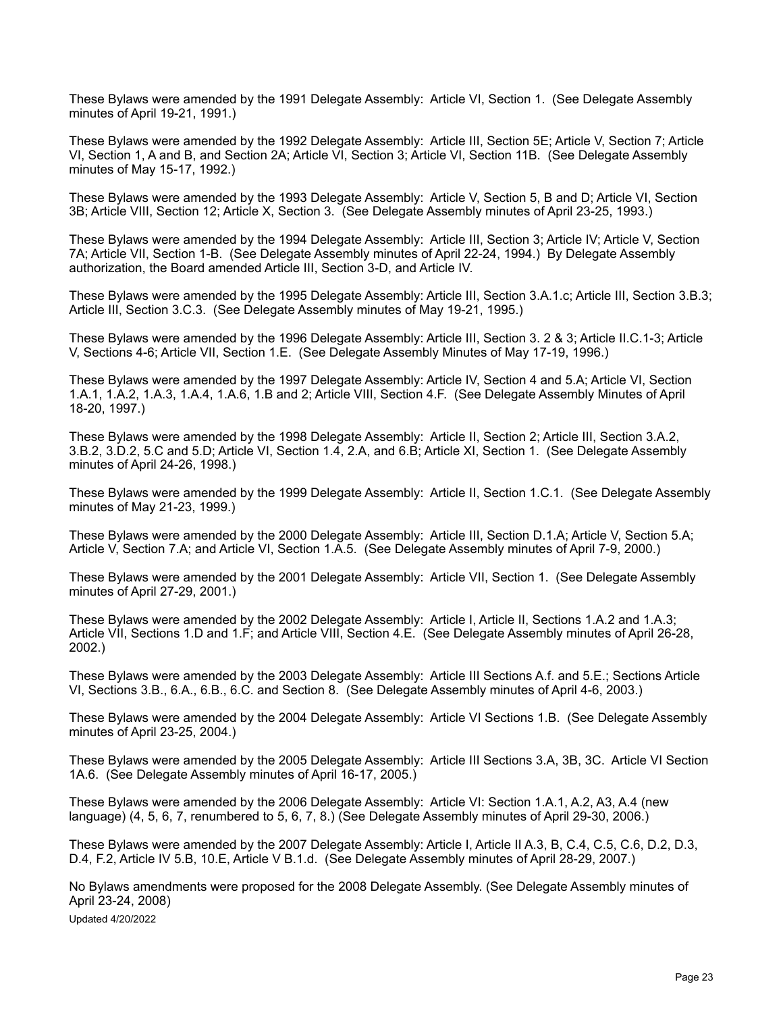These Bylaws were amended by the 1991 Delegate Assembly: Article VI, Section 1. (See Delegate Assembly minutes of April 19-21, 1991.)

These Bylaws were amended by the 1992 Delegate Assembly: Article III, Section 5E; Article V, Section 7; Article VI, Section 1, A and B, and Section 2A; Article VI, Section 3; Article VI, Section 11B. (See Delegate Assembly minutes of May 15-17, 1992.)

These Bylaws were amended by the 1993 Delegate Assembly: Article V, Section 5, B and D; Article VI, Section 3B; Article VIII, Section 12; Article X, Section 3. (See Delegate Assembly minutes of April 23-25, 1993.)

These Bylaws were amended by the 1994 Delegate Assembly: Article III, Section 3; Article IV; Article V, Section 7A; Article VII, Section 1-B. (See Delegate Assembly minutes of April 22-24, 1994.) By Delegate Assembly authorization, the Board amended Article III, Section 3-D, and Article IV.

These Bylaws were amended by the 1995 Delegate Assembly: Article III, Section 3.A.1.c; Article III, Section 3.B.3; Article III, Section 3.C.3. (See Delegate Assembly minutes of May 19-21, 1995.)

These Bylaws were amended by the 1996 Delegate Assembly: Article III, Section 3. 2 & 3; Article II.C.1-3; Article V, Sections 4-6; Article VII, Section 1.E. (See Delegate Assembly Minutes of May 17-19, 1996.)

These Bylaws were amended by the 1997 Delegate Assembly: Article IV, Section 4 and 5.A; Article VI, Section 1.A.1, 1.A.2, 1.A.3, 1.A.4, 1.A.6, 1.B and 2; Article VIII, Section 4.F. (See Delegate Assembly Minutes of April 18-20, 1997.)

These Bylaws were amended by the 1998 Delegate Assembly: Article II, Section 2; Article III, Section 3.A.2, 3.B.2, 3.D.2, 5.C and 5.D; Article VI, Section 1.4, 2.A, and 6.B; Article XI, Section 1. (See Delegate Assembly minutes of April 24-26, 1998.)

These Bylaws were amended by the 1999 Delegate Assembly: Article II, Section 1.C.1. (See Delegate Assembly minutes of May 21-23, 1999.)

These Bylaws were amended by the 2000 Delegate Assembly: Article III, Section D.1.A; Article V, Section 5.A; Article V, Section 7.A; and Article VI, Section 1.A.5. (See Delegate Assembly minutes of April 7-9, 2000.)

These Bylaws were amended by the 2001 Delegate Assembly: Article VII, Section 1. (See Delegate Assembly minutes of April 27-29, 2001.)

These Bylaws were amended by the 2002 Delegate Assembly: Article I, Article II, Sections 1.A.2 and 1.A.3; Article VII, Sections 1.D and 1.F; and Article VIII, Section 4.E. (See Delegate Assembly minutes of April 26-28, 2002.)

These Bylaws were amended by the 2003 Delegate Assembly: Article III Sections A.f. and 5.E.; Sections Article VI, Sections 3.B., 6.A., 6.B., 6.C. and Section 8. (See Delegate Assembly minutes of April 4-6, 2003.)

These Bylaws were amended by the 2004 Delegate Assembly: Article VI Sections 1.B. (See Delegate Assembly minutes of April 23-25, 2004.)

These Bylaws were amended by the 2005 Delegate Assembly: Article III Sections 3.A, 3B, 3C. Article VI Section 1A.6. (See Delegate Assembly minutes of April 16-17, 2005.)

These Bylaws were amended by the 2006 Delegate Assembly: Article VI: Section 1.A.1, A.2, A3, A.4 (new language) (4, 5, 6, 7, renumbered to 5, 6, 7, 8.) (See Delegate Assembly minutes of April 29-30, 2006.)

These Bylaws were amended by the 2007 Delegate Assembly: Article I, Article II A.3, B, C.4, C.5, C.6, D.2, D.3, D.4, F.2, Article IV 5.B, 10.E, Article V B.1.d. (See Delegate Assembly minutes of April 28-29, 2007.)

No Bylaws amendments were proposed for the 2008 Delegate Assembly. (See Delegate Assembly minutes of April 23-24, 2008) Updated 4/20/2022